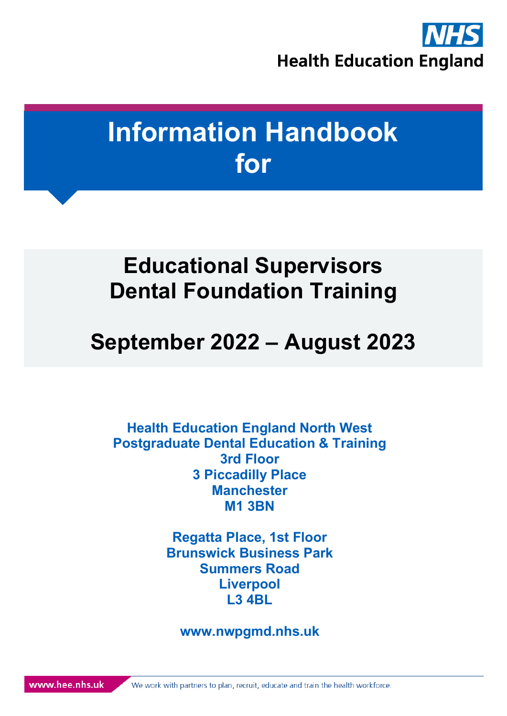

# **Information Handbook for**

# <span id="page-0-0"></span>**Educational Supervisors Dental Foundation Training**

# **September 2022 – August 2023**

**Health Education England North West Postgraduate Dental Education & Training 3rd Floor 3 Piccadilly Place Manchester M1 3BN**

> **Regatta Place, 1st Floor Brunswick Business Park Summers Road Liverpool L3 4BL**

**www.nwpgmd.nhs.uk**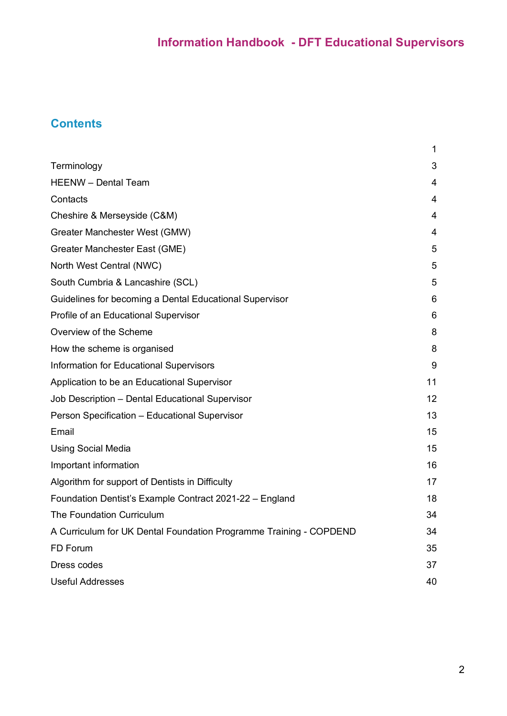## **Contents**

|                                                                    | 1  |
|--------------------------------------------------------------------|----|
| Terminology                                                        | 3  |
| <b>HEENW</b> - Dental Team                                         | 4  |
| Contacts                                                           | 4  |
| Cheshire & Merseyside (C&M)                                        | 4  |
| Greater Manchester West (GMW)                                      | 4  |
| Greater Manchester East (GME)                                      | 5  |
| North West Central (NWC)                                           | 5  |
| South Cumbria & Lancashire (SCL)                                   | 5  |
| Guidelines for becoming a Dental Educational Supervisor            | 6  |
| Profile of an Educational Supervisor                               | 6  |
| Overview of the Scheme                                             | 8  |
| How the scheme is organised                                        | 8  |
| Information for Educational Supervisors                            | 9  |
| Application to be an Educational Supervisor                        | 11 |
| Job Description - Dental Educational Supervisor                    | 12 |
| Person Specification - Educational Supervisor                      | 13 |
| Email                                                              | 15 |
| <b>Using Social Media</b>                                          | 15 |
| Important information                                              | 16 |
| Algorithm for support of Dentists in Difficulty                    | 17 |
| Foundation Dentist's Example Contract 2021-22 - England            | 18 |
| <b>The Foundation Curriculum</b>                                   | 34 |
| A Curriculum for UK Dental Foundation Programme Training - COPDEND | 34 |
| FD Forum                                                           | 35 |
| Dress codes                                                        | 37 |
| <b>Useful Addresses</b>                                            | 40 |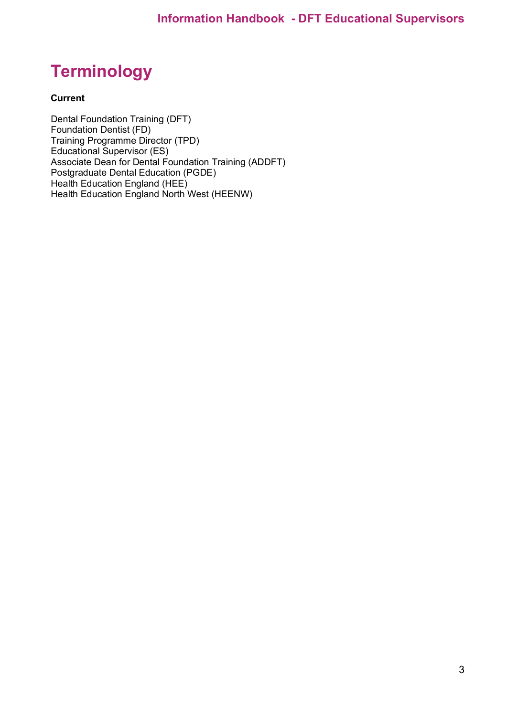## <span id="page-2-0"></span>**Terminology**

#### **Current**

Dental Foundation Training (DFT) Foundation Dentist (FD) Training Programme Director (TPD) Educational Supervisor (ES) Associate Dean for Dental Foundation Training (ADDFT) Postgraduate Dental Education (PGDE) Health Education England (HEE) Health Education England North West (HEENW)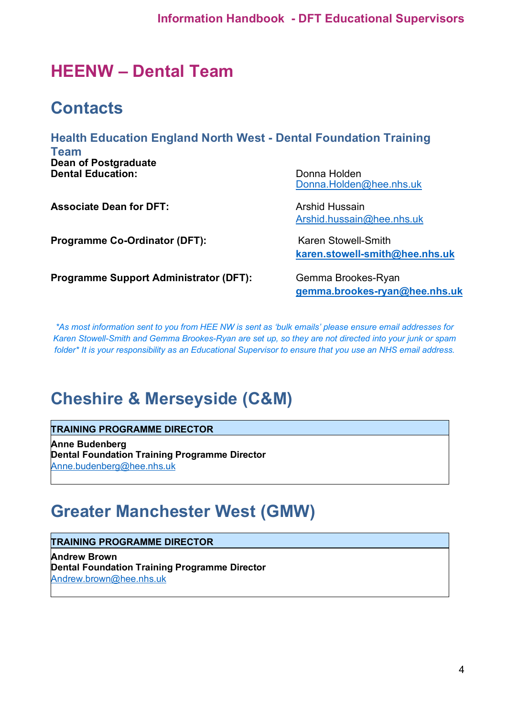## <span id="page-3-0"></span>**HEENW – Dental Team**

## <span id="page-3-1"></span>**Contacts**

### **Health Education England North West - Dental Foundation Training**

**Team Dean of Postgraduate Dental Education:** Donna Holden

**Associate Dean for DFT:** Arshid Hussain

**Programme Co-Ordinator (DFT):** Karen Stowell-Smith

[Donna.Holden@hee.nhs.uk](mailto:Donna.Holden@hee.nhs.uk)

[Arshid.hussain@hee.nhs.uk](mailto:Arshid.hussain@hee.nhs.uk)

**[karen.stowell-smith@hee.nhs.uk](mailto:karen.stowell-smith@hee.nhs.uk)**

**Programme Support Administrator (DFT):** Gemma Brookes-Ryan

**[gemma.brookes-ryan@hee.nhs.uk](mailto:gemma.brookes-ryan@hee.nhs.uk)**

*\*As most information sent to you from HEE NW is sent as 'bulk emails' please ensure email addresses for Karen Stowell-Smith and Gemma Brookes-Ryan are set up, so they are not directed into your junk or spam folder\* It is your responsibility as an Educational Supervisor to ensure that you use an NHS email address.*

## <span id="page-3-2"></span>**Cheshire & Merseyside (C&M)**

#### **TRAINING PROGRAMME DIRECTOR**

**Anne Budenberg Dental Foundation Training Programme Director** [Anne.budenberg@hee.nhs.uk](mailto:Anne.budenberg@hee.nhs.uk)

## <span id="page-3-3"></span>**Greater Manchester West (GMW)**

### **TRAINING PROGRAMME DIRECTOR**

**Andrew Brown Dental Foundation Training Programme Director** [Andrew.brown@hee.nhs.uk](mailto:Andrew.brown@hee.nhs.uk)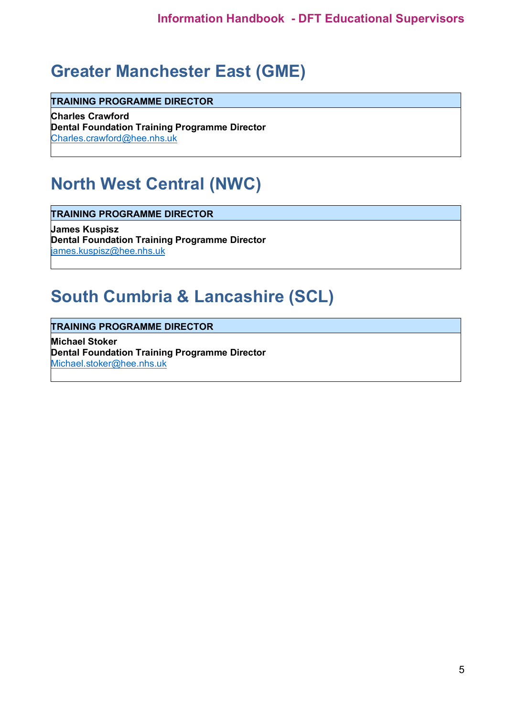## <span id="page-4-0"></span>**Greater Manchester East (GME)**

**TRAINING PROGRAMME DIRECTOR**

**Charles Crawford Dental Foundation Training Programme Director** [Charles.crawford@hee.nhs.uk](mailto:Charles.crawford@hee.nhs.uk)

## <span id="page-4-1"></span>**North West Central (NWC)**

**TRAINING PROGRAMME DIRECTOR**

**James Kuspisz Dental Foundation Training Programme Director** [james.kuspisz@hee.nhs.uk](mailto:james.kuspisz@hee.nhs.uk)

## <span id="page-4-2"></span>**South Cumbria & Lancashire (SCL)**

**TRAINING PROGRAMME DIRECTOR**

**Michael Stoker Dental Foundation Training Programme Director** [Michael.stoker@hee.nhs.uk](mailto:Michael.stoker@hee.nhs.uk)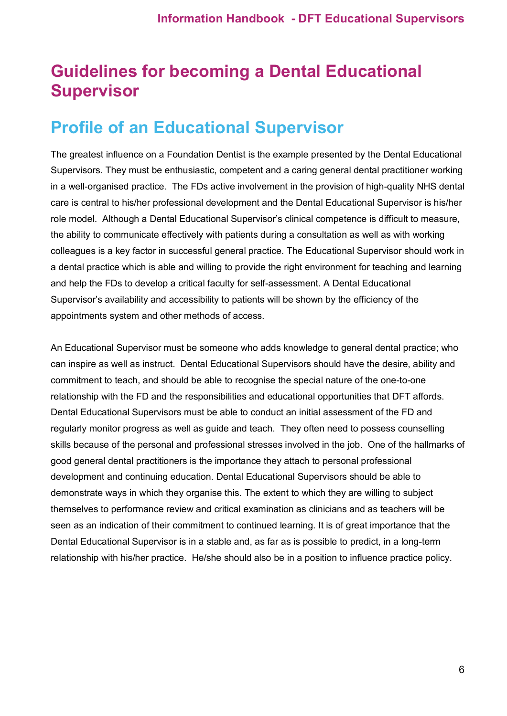## <span id="page-5-0"></span>**Guidelines for becoming a Dental Educational Supervisor**

## <span id="page-5-1"></span>**Profile of an Educational Supervisor**

The greatest influence on a Foundation Dentist is the example presented by the Dental Educational Supervisors. They must be enthusiastic, competent and a caring general dental practitioner working in a well-organised practice. The FDs active involvement in the provision of high-quality NHS dental care is central to his/her professional development and the Dental Educational Supervisor is his/her role model. Although a Dental Educational Supervisor's clinical competence is difficult to measure, the ability to communicate effectively with patients during a consultation as well as with working colleagues is a key factor in successful general practice. The Educational Supervisor should work in a dental practice which is able and willing to provide the right environment for teaching and learning and help the FDs to develop a critical faculty for self-assessment. A Dental Educational Supervisor's availability and accessibility to patients will be shown by the efficiency of the appointments system and other methods of access.

An Educational Supervisor must be someone who adds knowledge to general dental practice; who can inspire as well as instruct. Dental Educational Supervisors should have the desire, ability and commitment to teach, and should be able to recognise the special nature of the one-to-one relationship with the FD and the responsibilities and educational opportunities that DFT affords. Dental Educational Supervisors must be able to conduct an initial assessment of the FD and regularly monitor progress as well as guide and teach. They often need to possess counselling skills because of the personal and professional stresses involved in the job. One of the hallmarks of good general dental practitioners is the importance they attach to personal professional development and continuing education. Dental Educational Supervisors should be able to demonstrate ways in which they organise this. The extent to which they are willing to subject themselves to performance review and critical examination as clinicians and as teachers will be seen as an indication of their commitment to continued learning. It is of great importance that the Dental Educational Supervisor is in a stable and, as far as is possible to predict, in a long-term relationship with his/her practice. He/she should also be in a position to influence practice policy.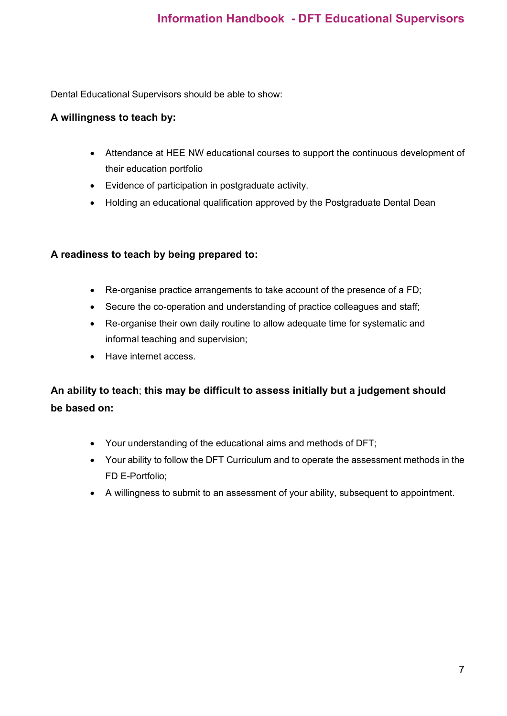Dental Educational Supervisors should be able to show:

#### **A willingness to teach by:**

- Attendance at HEE NW educational courses to support the continuous development of their education portfolio
- Evidence of participation in postgraduate activity.
- Holding an educational qualification approved by the Postgraduate Dental Dean

#### **A readiness to teach by being prepared to:**

- Re-organise practice arrangements to take account of the presence of a FD;
- Secure the co-operation and understanding of practice colleagues and staff;
- Re-organise their own daily routine to allow adequate time for systematic and informal teaching and supervision;
- Have internet access.

## **An ability to teach**; **this may be difficult to assess initially but a judgement should be based on:**

- Your understanding of the educational aims and methods of DFT;
- Your ability to follow the DFT Curriculum and to operate the assessment methods in the FD E-Portfolio;
- A willingness to submit to an assessment of your ability, subsequent to appointment.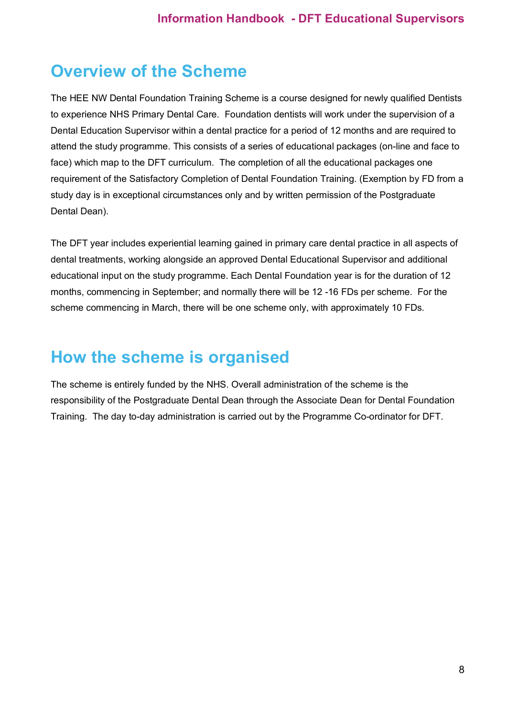## <span id="page-7-0"></span>**Overview of the Scheme**

The HEE NW Dental Foundation Training Scheme is a course designed for newly qualified Dentists to experience NHS Primary Dental Care. Foundation dentists will work under the supervision of a Dental Education Supervisor within a dental practice for a period of 12 months and are required to attend the study programme. This consists of a series of educational packages (on-line and face to face) which map to the DFT curriculum. The completion of all the educational packages one requirement of the Satisfactory Completion of Dental Foundation Training. (Exemption by FD from a study day is in exceptional circumstances only and by written permission of the Postgraduate Dental Dean).

The DFT year includes experiential learning gained in primary care dental practice in all aspects of dental treatments, working alongside an approved Dental Educational Supervisor and additional educational input on the study programme. Each Dental Foundation year is for the duration of 12 months, commencing in September; and normally there will be 12 -16 FDs per scheme. For the scheme commencing in March, there will be one scheme only, with approximately 10 FDs.

## <span id="page-7-1"></span>**How the scheme is organised**

The scheme is entirely funded by the NHS. Overall administration of the scheme is the responsibility of the Postgraduate Dental Dean through the Associate Dean for Dental Foundation Training. The day to-day administration is carried out by the Programme Co-ordinator for DFT.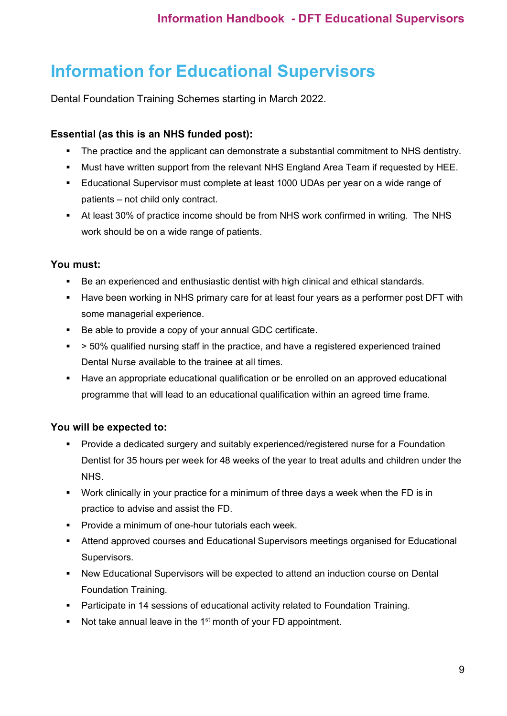## <span id="page-8-0"></span>**Information for Educational Supervisors**

Dental Foundation Training Schemes starting in March 2022.

### **Essential (as this is an NHS funded post):**

- The practice and the applicant can demonstrate a substantial commitment to NHS dentistry.
- Must have written support from the relevant NHS England Area Team if requested by HEE.
- Educational Supervisor must complete at least 1000 UDAs per year on a wide range of patients – not child only contract.
- At least 30% of practice income should be from NHS work confirmed in writing. The NHS work should be on a wide range of patients.

### **You must:**

- Be an experienced and enthusiastic dentist with high clinical and ethical standards.
- Have been working in NHS primary care for at least four years as a performer post DFT with some managerial experience.
- Be able to provide a copy of your annual GDC certificate.
- > 50% qualified nursing staff in the practice, and have a registered experienced trained Dental Nurse available to the trainee at all times.
- Have an appropriate educational qualification or be enrolled on an approved educational programme that will lead to an educational qualification within an agreed time frame.

### **You will be expected to:**

- Provide a dedicated surgery and suitably experienced/registered nurse for a Foundation Dentist for 35 hours per week for 48 weeks of the year to treat adults and children under the NHS.
- Work clinically in your practice for a minimum of three days a week when the FD is in practice to advise and assist the FD.
- Provide a minimum of one-hour tutorials each week.
- Attend approved courses and Educational Supervisors meetings organised for Educational Supervisors.
- New Educational Supervisors will be expected to attend an induction course on Dental Foundation Training.
- Participate in 14 sessions of educational activity related to Foundation Training.
- Not take annual leave in the  $1<sup>st</sup>$  month of your FD appointment.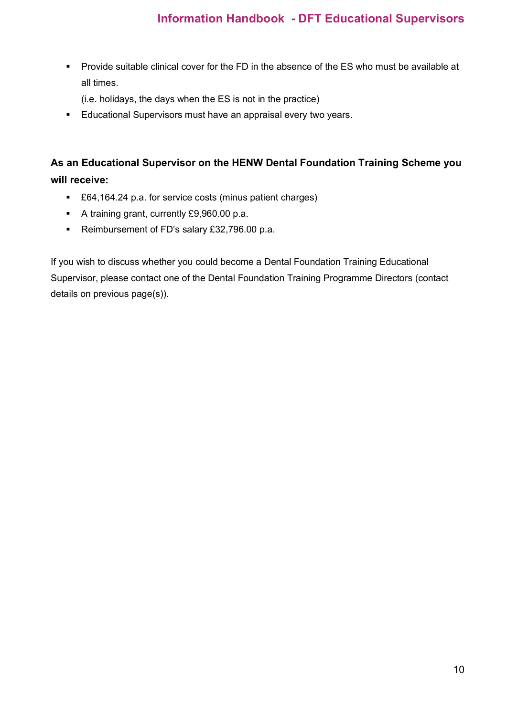**Provide suitable clinical cover for the FD in the absence of the ES who must be available at 4** all times.

(i.e. holidays, the days when the ES is not in the practice)

**Educational Supervisors must have an appraisal every two years.** 

## **As an Educational Supervisor on the HENW Dental Foundation Training Scheme you will receive:**

- £64,164.24 p.a. for service costs (minus patient charges)
- A training grant, currently £9,960.00 p.a.
- Reimbursement of FD's salary £32,796.00 p.a.

If you wish to discuss whether you could become a Dental Foundation Training Educational Supervisor, please contact one of the Dental Foundation Training Programme Directors (contact details on previous page(s)).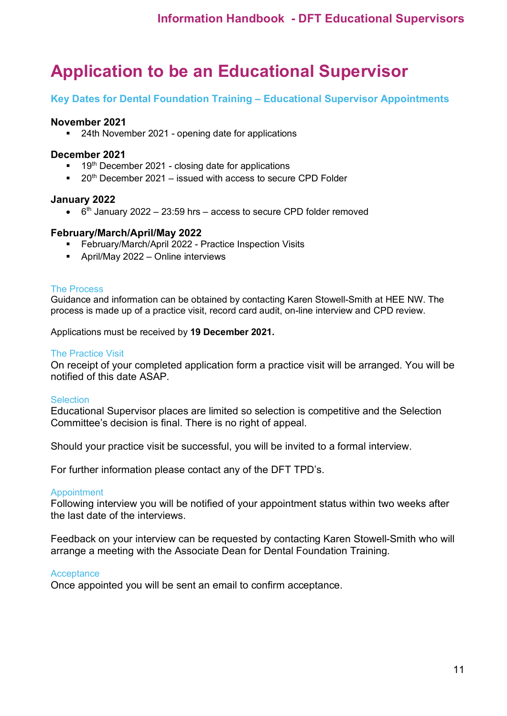## <span id="page-10-0"></span>**Application to be an Educational Supervisor**

#### **Key Dates for Dental Foundation Training – Educational Supervisor Appointments**

#### **November 2021**

■ 24th November 2021 - opening date for applications

#### **December 2021**

- 19<sup>th</sup> December 2021 closing date for applications
- $\blacksquare$  20<sup>th</sup> December 2021 issued with access to secure CPD Folder

#### **January 2022**

 $\bullet$  6<sup>th</sup> January 2022 – 23:59 hrs – access to secure CPD folder removed

#### **February/March/April/May 2022**

- **February/March/April 2022 Practice Inspection Visits**
- April/May 2022 Online interviews

#### The Process

Guidance and information can be obtained by contacting Karen Stowell-Smith at HEE NW. The process is made up of a practice visit, record card audit, on-line interview and CPD review.

Applications must be received by **19 December 2021.**

#### The Practice Visit

On receipt of your completed application form a practice visit will be arranged. You will be notified of this date ASAP.

#### Selection

Educational Supervisor places are limited so selection is competitive and the Selection Committee's decision is final. There is no right of appeal.

Should your practice visit be successful, you will be invited to a formal interview.

For further information please contact any of the DFT TPD's.

#### Appointment

Following interview you will be notified of your appointment status within two weeks after the last date of the interviews.

Feedback on your interview can be requested by contacting Karen Stowell-Smith who will arrange a meeting with the Associate Dean for Dental Foundation Training.

#### **Acceptance**

Once appointed you will be sent an email to confirm acceptance.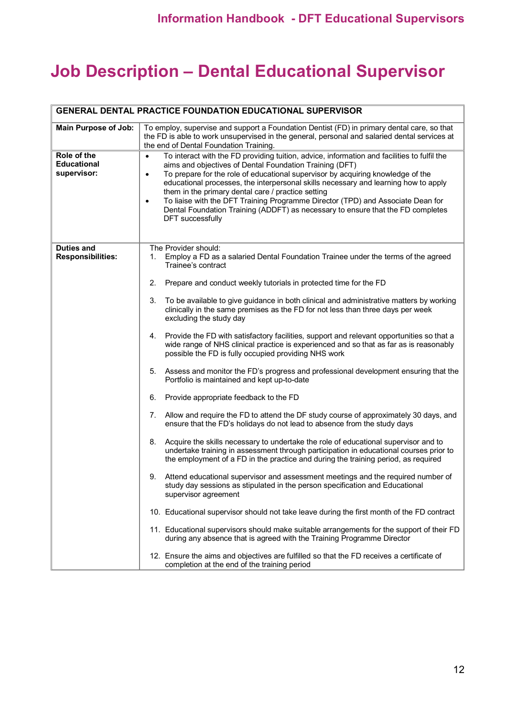## <span id="page-11-0"></span>**Job Description – Dental Educational Supervisor**

|                                                  | <b>GENERAL DENTAL PRACTICE FOUNDATION EDUCATIONAL SUPERVISOR</b>                                                                                                                                                                                                                                                                                                                                                                                                                                                                                                                                                               |
|--------------------------------------------------|--------------------------------------------------------------------------------------------------------------------------------------------------------------------------------------------------------------------------------------------------------------------------------------------------------------------------------------------------------------------------------------------------------------------------------------------------------------------------------------------------------------------------------------------------------------------------------------------------------------------------------|
| <b>Main Purpose of Job:</b>                      | To employ, supervise and support a Foundation Dentist (FD) in primary dental care, so that<br>the FD is able to work unsupervised in the general, personal and salaried dental services at<br>the end of Dental Foundation Training.                                                                                                                                                                                                                                                                                                                                                                                           |
| Role of the<br><b>Educational</b><br>supervisor: | To interact with the FD providing tuition, advice, information and facilities to fulfil the<br>$\bullet$<br>aims and objectives of Dental Foundation Training (DFT)<br>To prepare for the role of educational supervisor by acquiring knowledge of the<br>$\bullet$<br>educational processes, the interpersonal skills necessary and learning how to apply<br>them in the primary dental care / practice setting<br>To liaise with the DFT Training Programme Director (TPD) and Associate Dean for<br>$\bullet$<br>Dental Foundation Training (ADDFT) as necessary to ensure that the FD completes<br><b>DFT</b> successfully |
| <b>Duties and</b><br><b>Responsibilities:</b>    | The Provider should:<br>Employ a FD as a salaried Dental Foundation Trainee under the terms of the agreed<br>1.<br>Trainee's contract<br>2.<br>Prepare and conduct weekly tutorials in protected time for the FD                                                                                                                                                                                                                                                                                                                                                                                                               |
|                                                  | 3.<br>To be available to give guidance in both clinical and administrative matters by working<br>clinically in the same premises as the FD for not less than three days per week<br>excluding the study day                                                                                                                                                                                                                                                                                                                                                                                                                    |
|                                                  | Provide the FD with satisfactory facilities, support and relevant opportunities so that a<br>4.<br>wide range of NHS clinical practice is experienced and so that as far as is reasonably<br>possible the FD is fully occupied providing NHS work                                                                                                                                                                                                                                                                                                                                                                              |
|                                                  | 5. Assess and monitor the FD's progress and professional development ensuring that the<br>Portfolio is maintained and kept up-to-date                                                                                                                                                                                                                                                                                                                                                                                                                                                                                          |
|                                                  | 6.<br>Provide appropriate feedback to the FD                                                                                                                                                                                                                                                                                                                                                                                                                                                                                                                                                                                   |
|                                                  | Allow and require the FD to attend the DF study course of approximately 30 days, and<br>7.<br>ensure that the FD's holidays do not lead to absence from the study days                                                                                                                                                                                                                                                                                                                                                                                                                                                         |
|                                                  | Acquire the skills necessary to undertake the role of educational supervisor and to<br>8.<br>undertake training in assessment through participation in educational courses prior to<br>the employment of a FD in the practice and during the training period, as required                                                                                                                                                                                                                                                                                                                                                      |
|                                                  | Attend educational supervisor and assessment meetings and the required number of<br>9.<br>study day sessions as stipulated in the person specification and Educational<br>supervisor agreement                                                                                                                                                                                                                                                                                                                                                                                                                                 |
|                                                  | 10. Educational supervisor should not take leave during the first month of the FD contract                                                                                                                                                                                                                                                                                                                                                                                                                                                                                                                                     |
|                                                  | 11. Educational supervisors should make suitable arrangements for the support of their FD<br>during any absence that is agreed with the Training Programme Director                                                                                                                                                                                                                                                                                                                                                                                                                                                            |
|                                                  | 12. Ensure the aims and objectives are fulfilled so that the FD receives a certificate of<br>completion at the end of the training period                                                                                                                                                                                                                                                                                                                                                                                                                                                                                      |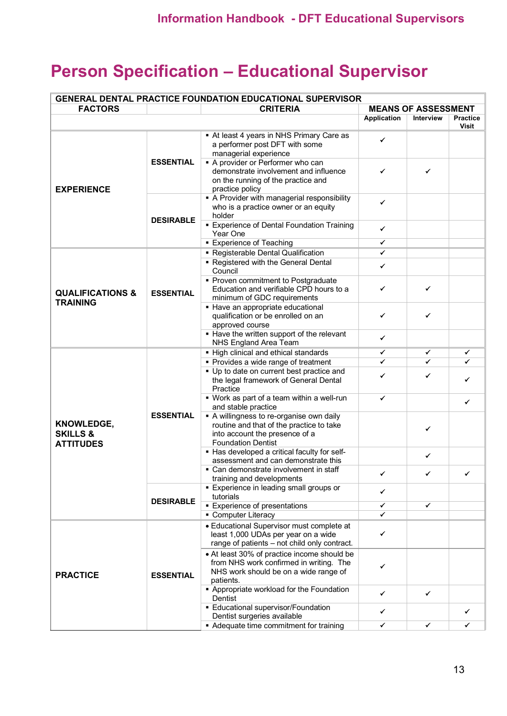## <span id="page-12-0"></span>**Person Specification – Educational Supervisor**

| <b>GENERAL DENTAL PRACTICE FOUNDATION EDUCATIONAL SUPERVISOR</b> |                  |                                                                                                                                                   |                            |           |                                 |
|------------------------------------------------------------------|------------------|---------------------------------------------------------------------------------------------------------------------------------------------------|----------------------------|-----------|---------------------------------|
| <b>FACTORS</b>                                                   | <b>CRITERIA</b>  |                                                                                                                                                   | <b>MEANS OF ASSESSMENT</b> |           |                                 |
|                                                                  |                  |                                                                                                                                                   | Application                | Interview | <b>Practice</b><br><b>Visit</b> |
| <b>EXPERIENCE</b>                                                | <b>ESSENTIAL</b> | At least 4 years in NHS Primary Care as<br>a performer post DFT with some<br>managerial experience                                                | ✓                          |           |                                 |
|                                                                  |                  | A provider or Performer who can<br>demonstrate involvement and influence<br>on the running of the practice and<br>practice policy                 | ✓                          | ✓         |                                 |
|                                                                  | <b>DESIRABLE</b> | • A Provider with managerial responsibility<br>who is a practice owner or an equity<br>holder                                                     | ✓                          |           |                                 |
|                                                                  |                  | <b>Experience of Dental Foundation Training</b><br>Year One                                                                                       | ✓                          |           |                                 |
|                                                                  |                  | <b>Experience of Teaching</b>                                                                                                                     | ✓                          |           |                                 |
|                                                                  |                  | • Registerable Dental Qualification                                                                                                               | ✓                          |           |                                 |
|                                                                  |                  | • Registered with the General Dental<br>Council                                                                                                   | ✓                          |           |                                 |
| <b>QUALIFICATIONS &amp;</b>                                      | <b>ESSENTIAL</b> | • Proven commitment to Postgraduate<br>Education and verifiable CPD hours to a<br>minimum of GDC requirements                                     | ✓                          | ✓         |                                 |
| <b>TRAINING</b>                                                  |                  | • Have an appropriate educational<br>qualification or be enrolled on an<br>approved course                                                        | ✓                          | ✓         |                                 |
|                                                                  |                  | • Have the written support of the relevant<br>NHS England Area Team                                                                               | ✔                          |           |                                 |
|                                                                  |                  | • High clinical and ethical standards                                                                                                             | ✔                          | ✓         | ✔                               |
|                                                                  |                  | • Provides a wide range of treatment                                                                                                              | ✓                          | ✓         |                                 |
|                                                                  |                  | • Up to date on current best practice and<br>the legal framework of General Dental<br>Practice                                                    | ✓                          | ✔         |                                 |
|                                                                  |                  | • Work as part of a team within a well-run<br>and stable practice                                                                                 | ✔                          |           | ✓                               |
| KNOWLEDGE,<br><b>SKILLS &amp;</b><br><b>ATTITUDES</b>            | <b>ESSENTIAL</b> | A willingness to re-organise own daily<br>routine and that of the practice to take<br>into account the presence of a<br><b>Foundation Dentist</b> |                            | ✓         |                                 |
|                                                                  |                  | . Has developed a critical faculty for self-<br>assessment and can demonstrate this                                                               |                            | ✓         |                                 |
|                                                                  |                  | • Can demonstrate involvement in staff<br>training and developments                                                                               | $\epsilon$                 |           |                                 |
|                                                                  |                  | <b>Experience in leading small groups or</b><br>tutorials                                                                                         | ✓                          |           |                                 |
|                                                                  | <b>DESIRABLE</b> | <b>Experience of presentations</b>                                                                                                                | ✓                          | ✓         |                                 |
|                                                                  |                  | • Computer Literacy                                                                                                                               | ✓                          |           |                                 |
| <b>PRACTICE</b>                                                  | <b>ESSENTIAL</b> | • Educational Supervisor must complete at<br>least 1,000 UDAs per year on a wide<br>range of patients - not child only contract.                  | ✓                          |           |                                 |
|                                                                  |                  | • At least 30% of practice income should be<br>from NHS work confirmed in writing. The<br>NHS work should be on a wide range of                   | ✓                          |           |                                 |
|                                                                  |                  | patients.<br>• Appropriate workload for the Foundation<br>Dentist                                                                                 | ✓                          | ✓         |                                 |
|                                                                  |                  | • Educational supervisor/Foundation<br>Dentist surgeries available                                                                                | ✓                          |           |                                 |
|                                                                  |                  | • Adequate time commitment for training                                                                                                           | ✓                          | ✓         | ✓                               |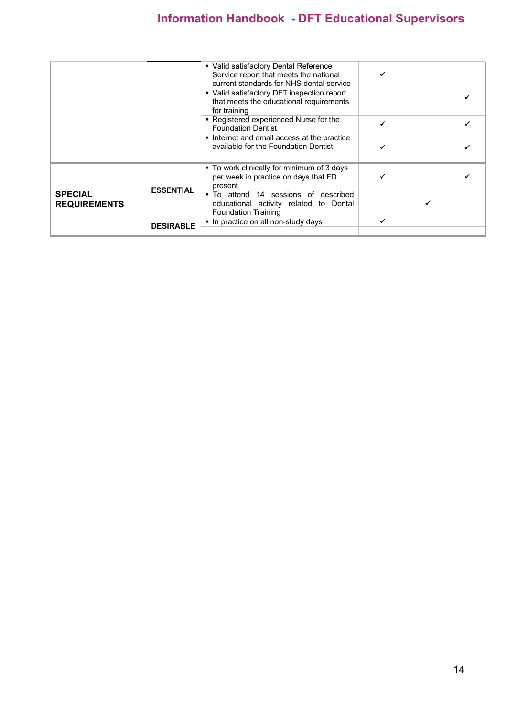|                                       |                  | • Valid satisfactory Dental Reference<br>Service report that meets the national<br>current standards for NHS dental service |  |  |
|---------------------------------------|------------------|-----------------------------------------------------------------------------------------------------------------------------|--|--|
|                                       |                  | • Valid satisfactory DFT inspection report<br>that meets the educational requirements<br>for training                       |  |  |
|                                       |                  | • Registered experienced Nurse for the<br><b>Foundation Dentist</b>                                                         |  |  |
|                                       |                  | Internet and email access at the practice<br>available for the Foundation Dentist                                           |  |  |
| <b>SPECIAL</b><br><b>REQUIREMENTS</b> | <b>ESSENTIAL</b> | ■ To work clinically for minimum of 3 days<br>per week in practice on days that FD<br>present                               |  |  |
|                                       |                  | • To attend 14 sessions of described<br>educational activity related to Dental<br><b>Foundation Training</b>                |  |  |
|                                       | <b>DESIRABLE</b> | . In practice on all non-study days                                                                                         |  |  |
|                                       |                  |                                                                                                                             |  |  |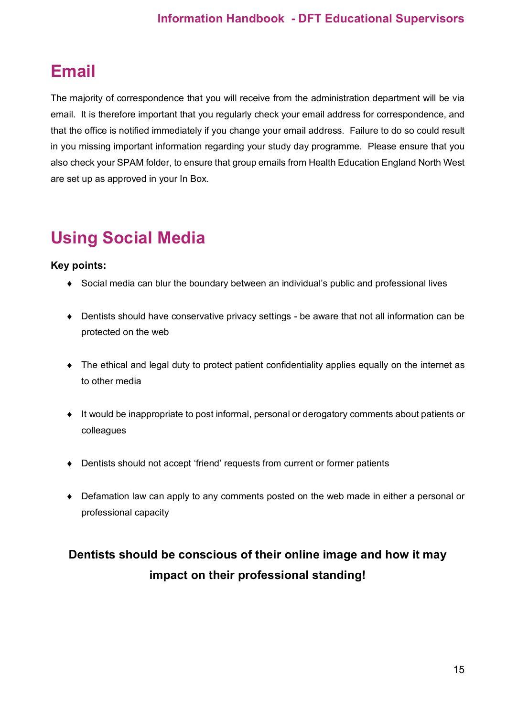## <span id="page-14-0"></span>**Email**

The majority of correspondence that you will receive from the administration department will be via email. It is therefore important that you regularly check your email address for correspondence, and that the office is notified immediately if you change your email address. Failure to do so could result in you missing important information regarding your study day programme. Please ensure that you also check your SPAM folder, to ensure that group emails from Health Education England North West are set up as approved in your In Box.

## <span id="page-14-1"></span>**Using Social Media**

### **Key points:**

- ♦ Social media can blur the boundary between an individual's public and professional lives
- ♦ Dentists should have conservative privacy settings be aware that not all information can be protected on the web
- ♦ The ethical and legal duty to protect patient confidentiality applies equally on the internet as to other media
- ♦ It would be inappropriate to post informal, personal or derogatory comments about patients or colleagues
- ♦ Dentists should not accept 'friend' requests from current or former patients
- ♦ Defamation law can apply to any comments posted on the web made in either a personal or professional capacity

## **Dentists should be conscious of their online image and how it may impact on their professional standing!**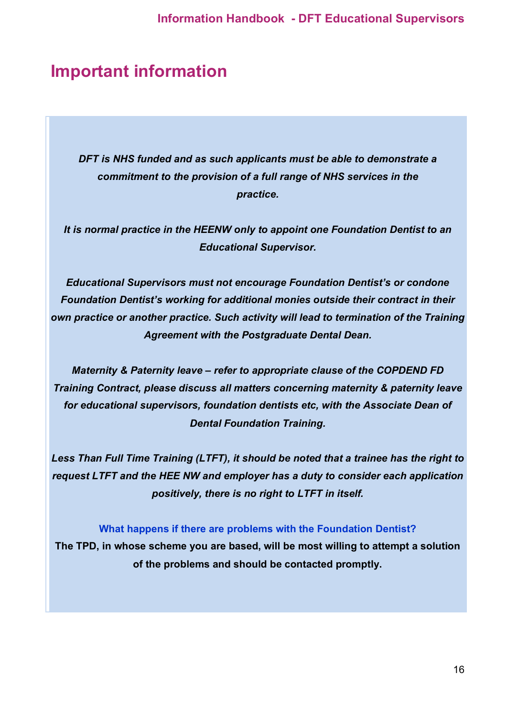## <span id="page-15-0"></span>**Important information**

*DFT is NHS funded and as such applicants must be able to demonstrate a commitment to the provision of a full range of NHS services in the practice.*

*It is normal practice in the HEENW only to appoint one Foundation Dentist to an Educational Supervisor.*

*Educational Supervisors must not encourage Foundation Dentist's or condone Foundation Dentist's working for additional monies outside their contract in their own practice or another practice. Such activity will lead to termination of the Training Agreement with the Postgraduate Dental Dean.*

*Maternity & Paternity leave – refer to appropriate clause of the COPDEND FD Training Contract, please discuss all matters concerning maternity & paternity leave for educational supervisors, foundation dentists etc, with the Associate Dean of Dental Foundation Training.*

*Less Than Full Time Training (LTFT), it should be noted that a trainee has the right to request LTFT and the HEE NW and employer has a duty to consider each application positively, there is no right to LTFT in itself.*

#### **What happens if there are problems with the Foundation Dentist?**

**The TPD, in whose scheme you are based, will be most willing to attempt a solution of the problems and should be contacted promptly.**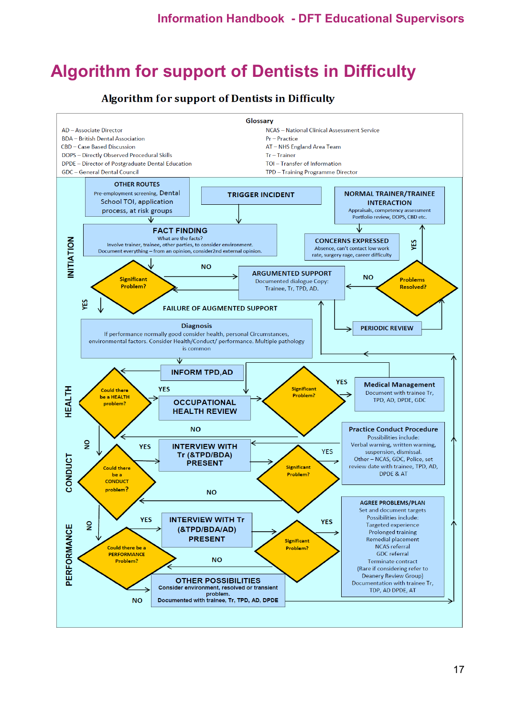## <span id="page-16-0"></span>**Algorithm for support of Dentists in Difficulty**

### **Algorithm for support of Dentists in Difficulty**

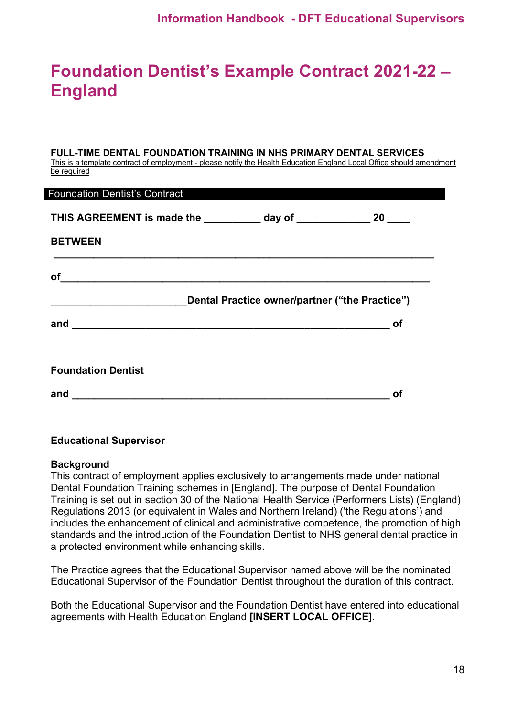## <span id="page-17-0"></span>**Foundation Dentist's Example Contract 2021-22 – England**

#### **FULL-TIME DENTAL FOUNDATION TRAINING IN NHS PRIMARY DENTAL SERVICES**

This is a template contract of employment - please notify the Health Education England Local Office should amendment be required

| <b>Foundation Dentist's Contract</b>                                                                                                                                                                                                                                                                                                                                                                    |                                                |
|---------------------------------------------------------------------------------------------------------------------------------------------------------------------------------------------------------------------------------------------------------------------------------------------------------------------------------------------------------------------------------------------------------|------------------------------------------------|
| THIS AGREEMENT is made the ____________ day of ________________ 20 ____                                                                                                                                                                                                                                                                                                                                 |                                                |
| <b>BETWEEN</b>                                                                                                                                                                                                                                                                                                                                                                                          |                                                |
|                                                                                                                                                                                                                                                                                                                                                                                                         |                                                |
|                                                                                                                                                                                                                                                                                                                                                                                                         |                                                |
|                                                                                                                                                                                                                                                                                                                                                                                                         | Dental Practice owner/partner ("the Practice") |
|                                                                                                                                                                                                                                                                                                                                                                                                         | <b>of</b>                                      |
| $of$ and $\overline{\phantom{a} }$ and $\overline{\phantom{a} }$ and $\overline{\phantom{a} }$ and $\overline{\phantom{a} }$ and $\overline{\phantom{a} }$ and $\overline{\phantom{a} }$ and $\overline{\phantom{a} }$ and $\overline{\phantom{a} }$ and $\overline{\phantom{a} }$ and $\overline{\phantom{a} }$ and $\overline{\phantom{a} }$ and $\overline{\phantom{a} }$ and $\overline{\phantom{a$ |                                                |
| <b>Foundation Dentist</b>                                                                                                                                                                                                                                                                                                                                                                               |                                                |

#### **Educational Supervisor**

#### **Background**

ı

This contract of employment applies exclusively to arrangements made under national Dental Foundation Training schemes in [England]. The purpose of Dental Foundation Training is set out in section 30 of the National Health Service (Performers Lists) (England) Regulations 2013 (or equivalent in Wales and Northern Ireland) ('the Regulations') and includes the enhancement of clinical and administrative competence, the promotion of high standards and the introduction of the Foundation Dentist to NHS general dental practice in a protected environment while enhancing skills.

The Practice agrees that the Educational Supervisor named above will be the nominated Educational Supervisor of the Foundation Dentist throughout the duration of this contract.

Both the Educational Supervisor and the Foundation Dentist have entered into educational agreements with Health Education England **[INSERT LOCAL OFFICE]**.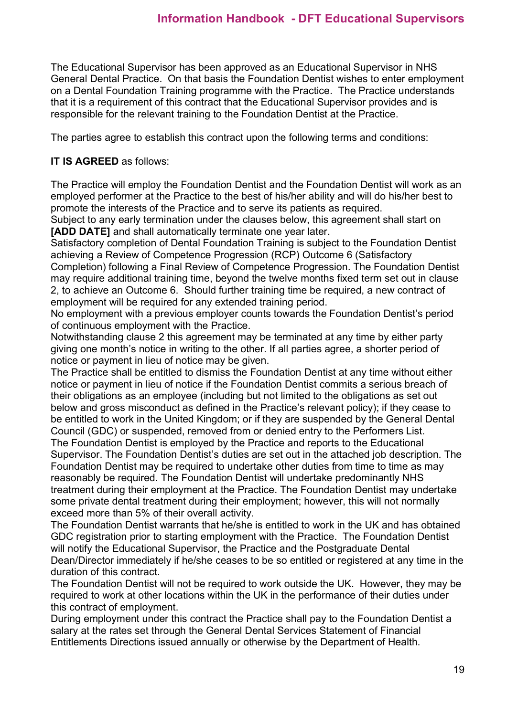The Educational Supervisor has been approved as an Educational Supervisor in NHS General Dental Practice. On that basis the Foundation Dentist wishes to enter employment on a Dental Foundation Training programme with the Practice. The Practice understands that it is a requirement of this contract that the Educational Supervisor provides and is responsible for the relevant training to the Foundation Dentist at the Practice.

The parties agree to establish this contract upon the following terms and conditions:

### **IT IS AGREED** as follows:

The Practice will employ the Foundation Dentist and the Foundation Dentist will work as an employed performer at the Practice to the best of his/her ability and will do his/her best to promote the interests of the Practice and to serve its patients as required.

Subject to any early termination under the clauses below, this agreement shall start on **[ADD DATE]** and shall automatically terminate one year later.

Satisfactory completion of Dental Foundation Training is subject to the Foundation Dentist achieving a Review of Competence Progression (RCP) Outcome 6 (Satisfactory Completion) following a Final Review of Competence Progression. The Foundation Dentist may require additional training time, beyond the twelve months fixed term set out in clause 2, to achieve an Outcome 6. Should further training time be required, a new contract of employment will be required for any extended training period.

No employment with a previous employer counts towards the Foundation Dentist's period of continuous employment with the Practice.

Notwithstanding clause 2 this agreement may be terminated at any time by either party giving one month's notice in writing to the other. If all parties agree, a shorter period of notice or payment in lieu of notice may be given.

The Practice shall be entitled to dismiss the Foundation Dentist at any time without either notice or payment in lieu of notice if the Foundation Dentist commits a serious breach of their obligations as an employee (including but not limited to the obligations as set out below and gross misconduct as defined in the Practice's relevant policy); if they cease to be entitled to work in the United Kingdom; or if they are suspended by the General Dental Council (GDC) or suspended, removed from or denied entry to the Performers List. The Foundation Dentist is employed by the Practice and reports to the Educational Supervisor. The Foundation Dentist's duties are set out in the attached job description. The Foundation Dentist may be required to undertake other duties from time to time as may reasonably be required*.* The Foundation Dentist will undertake predominantly NHS treatment during their employment at the Practice. The Foundation Dentist may undertake some private dental treatment during their employment; however, this will not normally exceed more than 5% of their overall activity.

The Foundation Dentist warrants that he/she is entitled to work in the UK and has obtained GDC registration prior to starting employment with the Practice. The Foundation Dentist will notify the Educational Supervisor, the Practice and the Postgraduate Dental Dean/Director immediately if he/she ceases to be so entitled or registered at any time in the duration of this contract.

The Foundation Dentist will not be required to work outside the UK. However, they may be required to work at other locations within the UK in the performance of their duties under this contract of employment.

During employment under this contract the Practice shall pay to the Foundation Dentist a salary at the rates set through the General Dental Services Statement of Financial Entitlements Directions issued annually or otherwise by the Department of Health.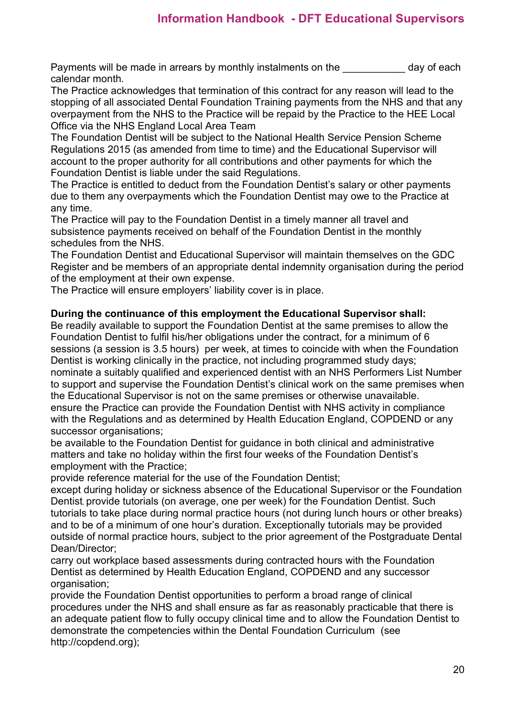Payments will be made in arrears by monthly instalments on the day of each calendar month.

The Practice acknowledges that termination of this contract for any reason will lead to the stopping of all associated Dental Foundation Training payments from the NHS and that any overpayment from the NHS to the Practice will be repaid by the Practice to the HEE Local Office via the NHS England Local Area Team

The Foundation Dentist will be subject to the National Health Service Pension Scheme Regulations 2015 (as amended from time to time) and the Educational Supervisor will account to the proper authority for all contributions and other payments for which the Foundation Dentist is liable under the said Regulations.

The Practice is entitled to deduct from the Foundation Dentist's salary or other payments due to them any overpayments which the Foundation Dentist may owe to the Practice at any time.

The Practice will pay to the Foundation Dentist in a timely manner all travel and subsistence payments received on behalf of the Foundation Dentist in the monthly schedules from the NHS.

The Foundation Dentist and Educational Supervisor will maintain themselves on the GDC Register and be members of an appropriate dental indemnity organisation during the period of the employment at their own expense.

The Practice will ensure employers' liability cover is in place.

#### **During the continuance of this employment the Educational Supervisor shall:**

Be readily available to support the Foundation Dentist at the same premises to allow the Foundation Dentist to fulfil his/her obligations under the contract, for a minimum of 6 sessions (a session is 3.5 hours) per week, at times to coincide with when the Foundation Dentist is working clinically in the practice, not including programmed study days; nominate a suitably qualified and experienced dentist with an NHS Performers List Number to support and supervise the Foundation Dentist's clinical work on the same premises when the Educational Supervisor is not on the same premises or otherwise unavailable. ensure the Practice can provide the Foundation Dentist with NHS activity in compliance with the Regulations and as determined by Health Education England, COPDEND or any successor organisations;

be available to the Foundation Dentist for guidance in both clinical and administrative matters and take no holiday within the first four weeks of the Foundation Dentist's employment with the Practice;

provide reference material for the use of the Foundation Dentist;

except during holiday or sickness absence of the Educational Supervisor or the Foundation Dentist, provide tutorials (on average, one per week) for the Foundation Dentist. Such tutorials to take place during normal practice hours (not during lunch hours or other breaks) and to be of a minimum of one hour's duration. Exceptionally tutorials may be provided outside of normal practice hours, subject to the prior agreement of the Postgraduate Dental Dean/Director;

carry out workplace based assessments during contracted hours with the Foundation Dentist as determined by Health Education England, COPDEND and any successor organisation:

provide the Foundation Dentist opportunities to perform a broad range of clinical procedures under the NHS and shall ensure as far as reasonably practicable that there is an adequate patient flow to fully occupy clinical time and to allow the Foundation Dentist to demonstrate the competencies within the Dental Foundation Curriculum (see http://copdend.org);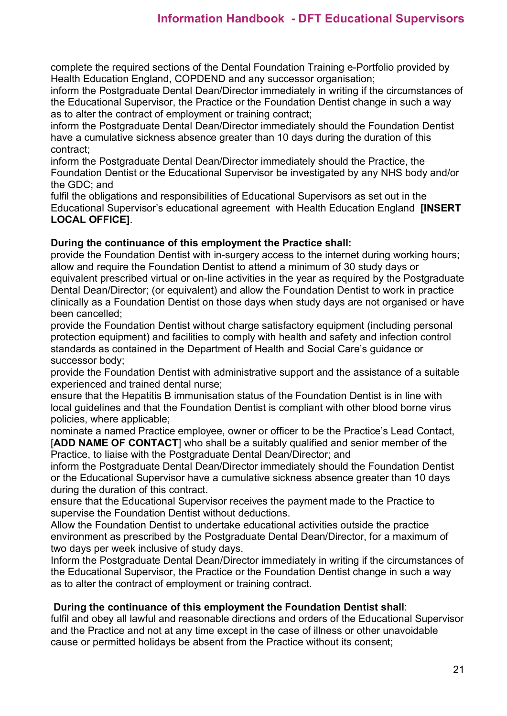complete the required sections of the Dental Foundation Training e-Portfolio provided by Health Education England, COPDEND and any successor organisation;

inform the Postgraduate Dental Dean/Director immediately in writing if the circumstances of the Educational Supervisor, the Practice or the Foundation Dentist change in such a way as to alter the contract of employment or training contract;

inform the Postgraduate Dental Dean/Director immediately should the Foundation Dentist have a cumulative sickness absence greater than 10 days during the duration of this contract;

inform the Postgraduate Dental Dean/Director immediately should the Practice, the Foundation Dentist or the Educational Supervisor be investigated by any NHS body and/or the GDC; and

fulfil the obligations and responsibilities of Educational Supervisors as set out in the Educational Supervisor's educational agreement with Health Education England **[INSERT LOCAL OFFICE]**.

#### **During the continuance of this employment the Practice shall:**

provide the Foundation Dentist with in-surgery access to the internet during working hours; allow and require the Foundation Dentist to attend a minimum of 30 study days or equivalent prescribed virtual or on-line activities in the year as required by the Postgraduate Dental Dean/Director; (or equivalent) and allow the Foundation Dentist to work in practice clinically as a Foundation Dentist on those days when study days are not organised or have been cancelled;

provide the Foundation Dentist without charge satisfactory equipment (including personal protection equipment) and facilities to comply with health and safety and infection control standards as contained in the Department of Health and Social Care's guidance or successor body;

provide the Foundation Dentist with administrative support and the assistance of a suitable experienced and trained dental nurse;

ensure that the Hepatitis B immunisation status of the Foundation Dentist is in line with local guidelines and that the Foundation Dentist is compliant with other blood borne virus policies, where applicable;

nominate a named Practice employee, owner or officer to be the Practice's Lead Contact, [**ADD NAME OF CONTACT**] who shall be a suitably qualified and senior member of the Practice, to liaise with the Postgraduate Dental Dean/Director; and

inform the Postgraduate Dental Dean/Director immediately should the Foundation Dentist or the Educational Supervisor have a cumulative sickness absence greater than 10 days during the duration of this contract.

ensure that the Educational Supervisor receives the payment made to the Practice to supervise the Foundation Dentist without deductions.

Allow the Foundation Dentist to undertake educational activities outside the practice environment as prescribed by the Postgraduate Dental Dean/Director, for a maximum of two days per week inclusive of study days.

Inform the Postgraduate Dental Dean/Director immediately in writing if the circumstances of the Educational Supervisor, the Practice or the Foundation Dentist change in such a way as to alter the contract of employment or training contract.

### **During the continuance of this employment the Foundation Dentist shall**:

fulfil and obey all lawful and reasonable directions and orders of the Educational Supervisor and the Practice and not at any time except in the case of illness or other unavoidable cause or permitted holidays be absent from the Practice without its consent;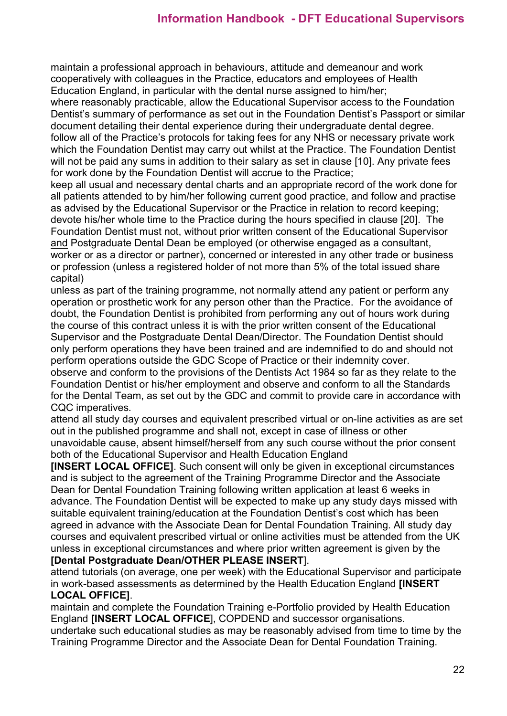maintain a professional approach in behaviours, attitude and demeanour and work cooperatively with colleagues in the Practice, educators and employees of Health Education England, in particular with the dental nurse assigned to him/her;

where reasonably practicable, allow the Educational Supervisor access to the Foundation Dentist's summary of performance as set out in the Foundation Dentist's Passport or similar document detailing their dental experience during their undergraduate dental degree. follow all of the Practice's protocols for taking fees for any NHS or necessary private work which the Foundation Dentist may carry out whilst at the Practice. The Foundation Dentist will not be paid any sums in addition to their salary as set in clause [10]. Any private fees for work done by the Foundation Dentist will accrue to the Practice;

keep all usual and necessary dental charts and an appropriate record of the work done for all patients attended to by him/her following current good practice, and follow and practise as advised by the Educational Supervisor or the Practice in relation to record keeping; devote his/her whole time to the Practice during the hours specified in clause [20]. The Foundation Dentist must not, without prior written consent of the Educational Supervisor and Postgraduate Dental Dean be employed (or otherwise engaged as a consultant, worker or as a director or partner), concerned or interested in any other trade or business or profession (unless a registered holder of not more than 5% of the total issued share capital)

unless as part of the training programme, not normally attend any patient or perform any operation or prosthetic work for any person other than the Practice. For the avoidance of doubt, the Foundation Dentist is prohibited from performing any out of hours work during the course of this contract unless it is with the prior written consent of the Educational Supervisor and the Postgraduate Dental Dean/Director. The Foundation Dentist should only perform operations they have been trained and are indemnified to do and should not perform operations outside the GDC Scope of Practice or their indemnity cover.

observe and conform to the provisions of the Dentists Act 1984 so far as they relate to the Foundation Dentist or his/her employment and observe and conform to all the Standards for the Dental Team, as set out by the GDC and commit to provide care in accordance with CQC imperatives.

attend all study day courses and equivalent prescribed virtual or on-line activities as are set out in the published programme and shall not, except in case of illness or other unavoidable cause, absent himself/herself from any such course without the prior consent both of the Educational Supervisor and Health Education England

**[INSERT LOCAL OFFICE]**. Such consent will only be given in exceptional circumstances and is subject to the agreement of the Training Programme Director and the Associate Dean for Dental Foundation Training following written application at least 6 weeks in advance. The Foundation Dentist will be expected to make up any study days missed with suitable equivalent training/education at the Foundation Dentist's cost which has been agreed in advance with the Associate Dean for Dental Foundation Training. All study day courses and equivalent prescribed virtual or online activities must be attended from the UK unless in exceptional circumstances and where prior written agreement is given by the **[Dental Postgraduate Dean/OTHER PLEASE INSERT**].

attend tutorials (on average, one per week) with the Educational Supervisor and participate in work-based assessments as determined by the Health Education England **[INSERT LOCAL OFFICE]**.

maintain and complete the Foundation Training e-Portfolio provided by Health Education England **[INSERT LOCAL OFFICE**], COPDEND and successor organisations.

undertake such educational studies as may be reasonably advised from time to time by the Training Programme Director and the Associate Dean for Dental Foundation Training.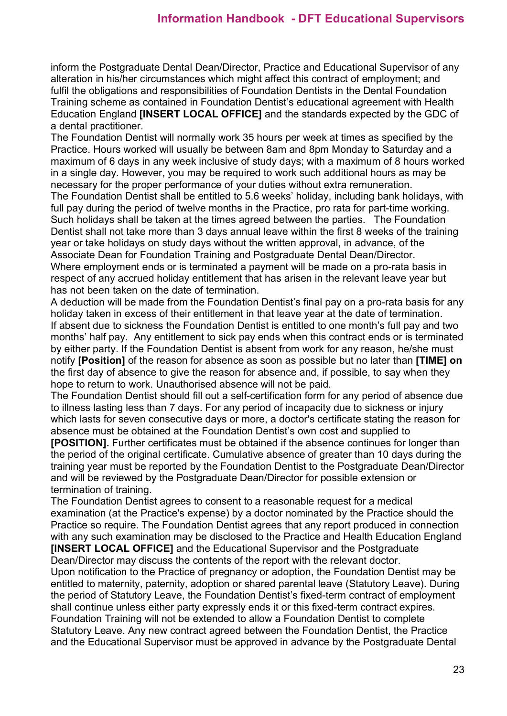inform the Postgraduate Dental Dean/Director, Practice and Educational Supervisor of any alteration in his/her circumstances which might affect this contract of employment; and fulfil the obligations and responsibilities of Foundation Dentists in the Dental Foundation Training scheme as contained in Foundation Dentist's educational agreement with Health Education England **[INSERT LOCAL OFFICE]** and the standards expected by the GDC of a dental practitioner.

The Foundation Dentist will normally work 35 hours per week at times as specified by the Practice. Hours worked will usually be between 8am and 8pm Monday to Saturday and a maximum of 6 days in any week inclusive of study days; with a maximum of 8 hours worked in a single day. However, you may be required to work such additional hours as may be necessary for the proper performance of your duties without extra remuneration.

The Foundation Dentist shall be entitled to 5.6 weeks' holiday, including bank holidays, with full pay during the period of twelve months in the Practice, pro rata for part-time working. Such holidays shall be taken at the times agreed between the parties. The Foundation Dentist shall not take more than 3 days annual leave within the first 8 weeks of the training year or take holidays on study days without the written approval, in advance, of the Associate Dean for Foundation Training and Postgraduate Dental Dean/Director. Where employment ends or is terminated a payment will be made on a pro-rata basis in respect of any accrued holiday entitlement that has arisen in the relevant leave year but has not been taken on the date of termination.

A deduction will be made from the Foundation Dentist's final pay on a pro-rata basis for any holiday taken in excess of their entitlement in that leave year at the date of termination. If absent due to sickness the Foundation Dentist is entitled to one month's full pay and two months' half pay. Any entitlement to sick pay ends when this contract ends or is terminated by either party. If the Foundation Dentist is absent from work for any reason, he/she must notify **[Position]** of the reason for absence as soon as possible but no later than **[TIME] on** the first day of absence to give the reason for absence and, if possible, to say when they hope to return to work. Unauthorised absence will not be paid.

The Foundation Dentist should fill out a self-certification form for any period of absence due to illness lasting less than 7 days. For any period of incapacity due to sickness or injury which lasts for seven consecutive days or more, a doctor's certificate stating the reason for absence must be obtained at the Foundation Dentist's own cost and supplied to

**[POSITION].** Further certificates must be obtained if the absence continues for longer than the period of the original certificate. Cumulative absence of greater than 10 days during the training year must be reported by the Foundation Dentist to the Postgraduate Dean/Director and will be reviewed by the Postgraduate Dean/Director for possible extension or termination of training.

The Foundation Dentist agrees to consent to a reasonable request for a medical examination (at the Practice's expense) by a doctor nominated by the Practice should the Practice so require. The Foundation Dentist agrees that any report produced in connection with any such examination may be disclosed to the Practice and Health Education England **[INSERT LOCAL OFFICE]** and the Educational Supervisor and the Postgraduate Dean/Director may discuss the contents of the report with the relevant doctor.

Upon notification to the Practice of pregnancy or adoption, the Foundation Dentist may be entitled to maternity, paternity, adoption or shared parental leave (Statutory Leave). During the period of Statutory Leave, the Foundation Dentist's fixed-term contract of employment shall continue unless either party expressly ends it or this fixed-term contract expires. Foundation Training will not be extended to allow a Foundation Dentist to complete Statutory Leave. Any new contract agreed between the Foundation Dentist, the Practice and the Educational Supervisor must be approved in advance by the Postgraduate Dental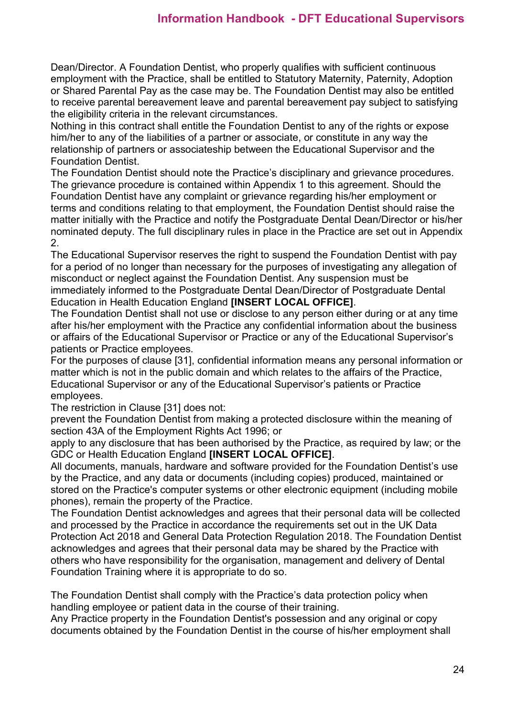Dean/Director. A Foundation Dentist, who properly qualifies with sufficient continuous employment with the Practice, shall be entitled to Statutory Maternity, Paternity, Adoption or Shared Parental Pay as the case may be. The Foundation Dentist may also be entitled to receive parental bereavement leave and parental bereavement pay subject to satisfying the eligibility criteria in the relevant circumstances.

Nothing in this contract shall entitle the Foundation Dentist to any of the rights or expose him/her to any of the liabilities of a partner or associate, or constitute in any way the relationship of partners or associateship between the Educational Supervisor and the Foundation Dentist.

The Foundation Dentist should note the Practice's disciplinary and grievance procedures. The grievance procedure is contained within Appendix 1 to this agreement. Should the Foundation Dentist have any complaint or grievance regarding his/her employment or terms and conditions relating to that employment, the Foundation Dentist should raise the matter initially with the Practice and notify the Postgraduate Dental Dean/Director or his/her nominated deputy. The full disciplinary rules in place in the Practice are set out in Appendix 2.

The Educational Supervisor reserves the right to suspend the Foundation Dentist with pay for a period of no longer than necessary for the purposes of investigating any allegation of misconduct or neglect against the Foundation Dentist. Any suspension must be immediately informed to the Postgraduate Dental Dean/Director of Postgraduate Dental Education in Health Education England **[INSERT LOCAL OFFICE]**.

The Foundation Dentist shall not use or disclose to any person either during or at any time after his/her employment with the Practice any confidential information about the business or affairs of the Educational Supervisor or Practice or any of the Educational Supervisor's patients or Practice employees.

For the purposes of clause [31], confidential information means any personal information or matter which is not in the public domain and which relates to the affairs of the Practice, Educational Supervisor or any of the Educational Supervisor's patients or Practice employees.

The restriction in Clause [31] does not:

prevent the Foundation Dentist from making a protected disclosure within the meaning of section 43A of the Employment Rights Act 1996; or

apply to any disclosure that has been authorised by the Practice, as required by law; or the GDC or Health Education England **[INSERT LOCAL OFFICE]**.

All documents, manuals, hardware and software provided for the Foundation Dentist's use by the Practice, and any data or documents (including copies) produced, maintained or stored on the Practice's computer systems or other electronic equipment (including mobile phones), remain the property of the Practice.

The Foundation Dentist acknowledges and agrees that their personal data will be collected and processed by the Practice in accordance the requirements set out in the UK Data Protection Act 2018 and General Data Protection Regulation 2018. The Foundation Dentist acknowledges and agrees that their personal data may be shared by the Practice with others who have responsibility for the organisation, management and delivery of Dental Foundation Training where it is appropriate to do so.

The Foundation Dentist shall comply with the Practice's data protection policy when handling employee or patient data in the course of their training.

Any Practice property in the Foundation Dentist's possession and any original or copy documents obtained by the Foundation Dentist in the course of his/her employment shall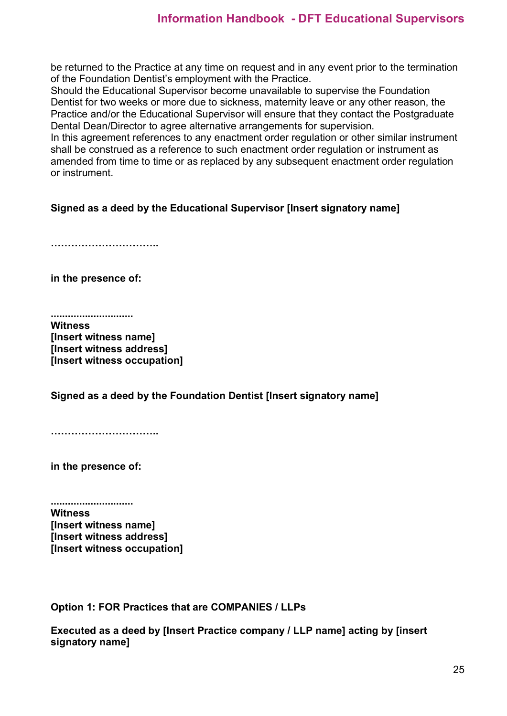be returned to the Practice at any time on request and in any event prior to the termination of the Foundation Dentist's employment with the Practice.

Should the Educational Supervisor become unavailable to supervise the Foundation Dentist for two weeks or more due to sickness, maternity leave or any other reason, the Practice and/or the Educational Supervisor will ensure that they contact the Postgraduate Dental Dean/Director to agree alternative arrangements for supervision.

In this agreement references to any enactment order regulation or other similar instrument shall be construed as a reference to such enactment order regulation or instrument as amended from time to time or as replaced by any subsequent enactment order regulation or instrument.

### **Signed as a deed by the Educational Supervisor [Insert signatory name]**

**…………………………..** 

**in the presence of:**

**............................. Witness [Insert witness name] [Insert witness address] [Insert witness occupation]**

**Signed as a deed by the Foundation Dentist [Insert signatory name]** 

**…………………………..** 

**in the presence of:**

**............................. Witness [Insert witness name] [Insert witness address] [Insert witness occupation]**

**Option 1: FOR Practices that are COMPANIES / LLPs**

**Executed as a deed by [Insert Practice company / LLP name] acting by [insert signatory name]**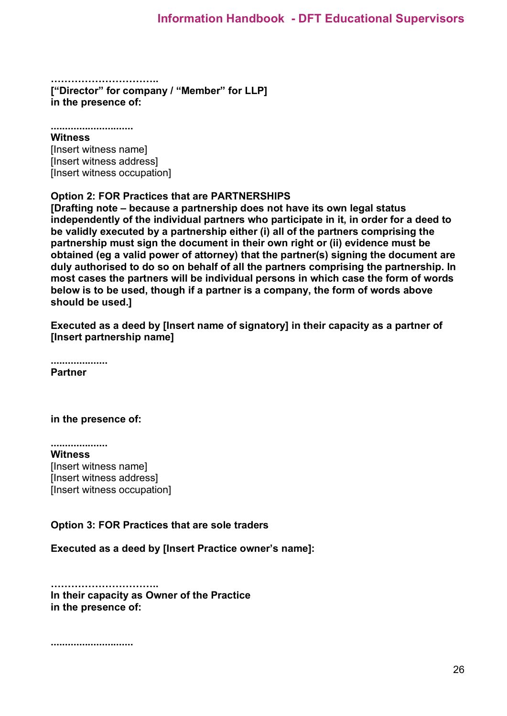**………………………….. ["Director" for company / "Member" for LLP] in the presence of:**

**............................. Witness** [Insert witness name] [Insert witness address] [Insert witness occupation]

#### **Option 2: FOR Practices that are PARTNERSHIPS**

**[Drafting note – because a partnership does not have its own legal status independently of the individual partners who participate in it, in order for a deed to be validly executed by a partnership either (i) all of the partners comprising the partnership must sign the document in their own right or (ii) evidence must be obtained (eg a valid power of attorney) that the partner(s) signing the document are duly authorised to do so on behalf of all the partners comprising the partnership. In most cases the partners will be individual persons in which case the form of words below is to be used, though if a partner is a company, the form of words above should be used.]** 

**Executed as a deed by [Insert name of signatory] in their capacity as a partner of [Insert partnership name]** 

**.................... Partner**

**in the presence of:**

**.................... Witness** [Insert witness name] [Insert witness address] [Insert witness occupation]

### **Option 3: FOR Practices that are sole traders**

**Executed as a deed by [Insert Practice owner's name]:**

**………………………….. In their capacity as Owner of the Practice in the presence of:**

**.............................**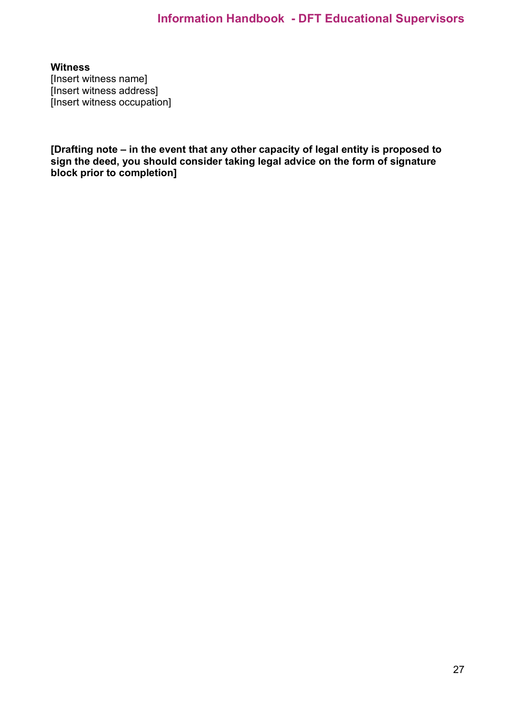**Witness** [Insert witness name] [Insert witness address] [Insert witness occupation]

**[Drafting note – in the event that any other capacity of legal entity is proposed to sign the deed, you should consider taking legal advice on the form of signature block prior to completion]**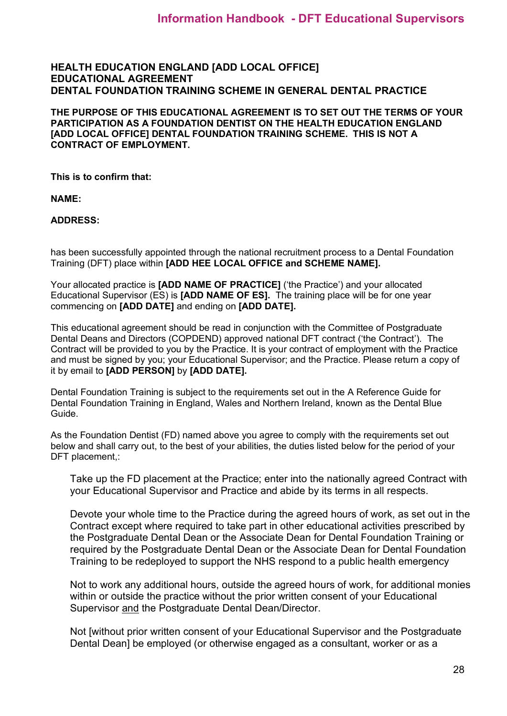#### **HEALTH EDUCATION ENGLAND [ADD LOCAL OFFICE] EDUCATIONAL AGREEMENT DENTAL FOUNDATION TRAINING SCHEME IN GENERAL DENTAL PRACTICE**

**THE PURPOSE OF THIS EDUCATIONAL AGREEMENT IS TO SET OUT THE TERMS OF YOUR PARTICIPATION AS A FOUNDATION DENTIST ON THE HEALTH EDUCATION ENGLAND [ADD LOCAL OFFICE] DENTAL FOUNDATION TRAINING SCHEME. THIS IS NOT A CONTRACT OF EMPLOYMENT.**

**This is to confirm that:**

**NAME:** 

**ADDRESS:**

has been successfully appointed through the national recruitment process to a Dental Foundation Training (DFT) place within **[ADD HEE LOCAL OFFICE and SCHEME NAME].** 

Your allocated practice is **[ADD NAME OF PRACTICE]** ('the Practice') and your allocated Educational Supervisor (ES) is **[ADD NAME OF ES].** The training place will be for one year commencing on **[ADD DATE]** and ending on **[ADD DATE].**

This educational agreement should be read in conjunction with the Committee of Postgraduate Dental Deans and Directors (COPDEND) approved national DFT contract ('the Contract'). The Contract will be provided to you by the Practice. It is your contract of employment with the Practice and must be signed by you; your Educational Supervisor; and the Practice. Please return a copy of it by email to **[ADD PERSON]** by **[ADD DATE].**

Dental Foundation Training is subject to the requirements set out in the A Reference Guide for Dental Foundation Training in England, Wales and Northern Ireland, known as the Dental Blue Guide.

As the Foundation Dentist (FD) named above you agree to comply with the requirements set out below and shall carry out, to the best of your abilities, the duties listed below for the period of your DFT placement,:

Take up the FD placement at the Practice; enter into the nationally agreed Contract with your Educational Supervisor and Practice and abide by its terms in all respects.

Devote your whole time to the Practice during the agreed hours of work, as set out in the Contract except where required to take part in other educational activities prescribed by the Postgraduate Dental Dean or the Associate Dean for Dental Foundation Training or required by the Postgraduate Dental Dean or the Associate Dean for Dental Foundation Training to be redeployed to support the NHS respond to a public health emergency

Not to work any additional hours, outside the agreed hours of work, for additional monies within or outside the practice without the prior written consent of your Educational Supervisor and the Postgraduate Dental Dean/Director.

Not [without prior written consent of your Educational Supervisor and the Postgraduate Dental Dean] be employed (or otherwise engaged as a consultant, worker or as a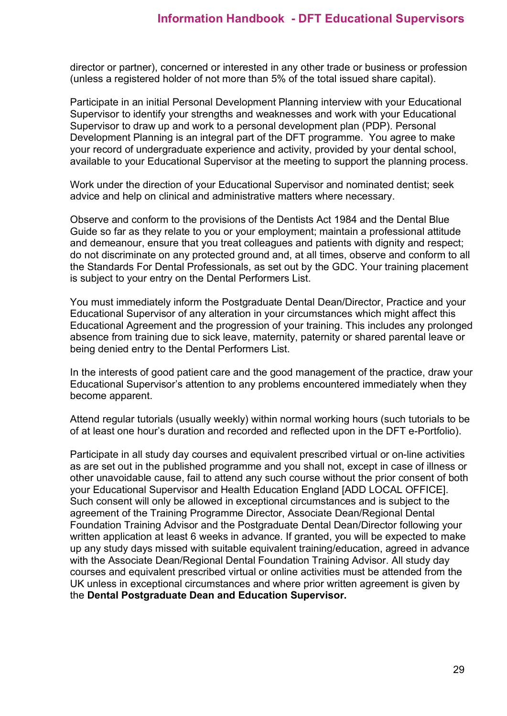director or partner), concerned or interested in any other trade or business or profession (unless a registered holder of not more than 5% of the total issued share capital).

Participate in an initial Personal Development Planning interview with your Educational Supervisor to identify your strengths and weaknesses and work with your Educational Supervisor to draw up and work to a personal development plan (PDP). Personal Development Planning is an integral part of the DFT programme. You agree to make your record of undergraduate experience and activity, provided by your dental school, available to your Educational Supervisor at the meeting to support the planning process.

Work under the direction of your Educational Supervisor and nominated dentist; seek advice and help on clinical and administrative matters where necessary.

Observe and conform to the provisions of the Dentists Act 1984 and the Dental Blue Guide so far as they relate to you or your employment; maintain a professional attitude and demeanour, ensure that you treat colleagues and patients with dignity and respect; do not discriminate on any protected ground and, at all times, observe and conform to all the Standards For Dental Professionals, as set out by the GDC. Your training placement is subject to your entry on the Dental Performers List.

You must immediately inform the Postgraduate Dental Dean/Director, Practice and your Educational Supervisor of any alteration in your circumstances which might affect this Educational Agreement and the progression of your training. This includes any prolonged absence from training due to sick leave, maternity, paternity or shared parental leave or being denied entry to the Dental Performers List.

In the interests of good patient care and the good management of the practice, draw your Educational Supervisor's attention to any problems encountered immediately when they become apparent.

Attend regular tutorials (usually weekly) within normal working hours (such tutorials to be of at least one hour's duration and recorded and reflected upon in the DFT e-Portfolio).

Participate in all study day courses and equivalent prescribed virtual or on-line activities as are set out in the published programme and you shall not, except in case of illness or other unavoidable cause, fail to attend any such course without the prior consent of both your Educational Supervisor and Health Education England [ADD LOCAL OFFICE]. Such consent will only be allowed in exceptional circumstances and is subject to the agreement of the Training Programme Director, Associate Dean/Regional Dental Foundation Training Advisor and the Postgraduate Dental Dean/Director following your written application at least 6 weeks in advance. If granted, you will be expected to make up any study days missed with suitable equivalent training/education, agreed in advance with the Associate Dean/Regional Dental Foundation Training Advisor. All study day courses and equivalent prescribed virtual or online activities must be attended from the UK unless in exceptional circumstances and where prior written agreement is given by the **Dental Postgraduate Dean and Education Supervisor.**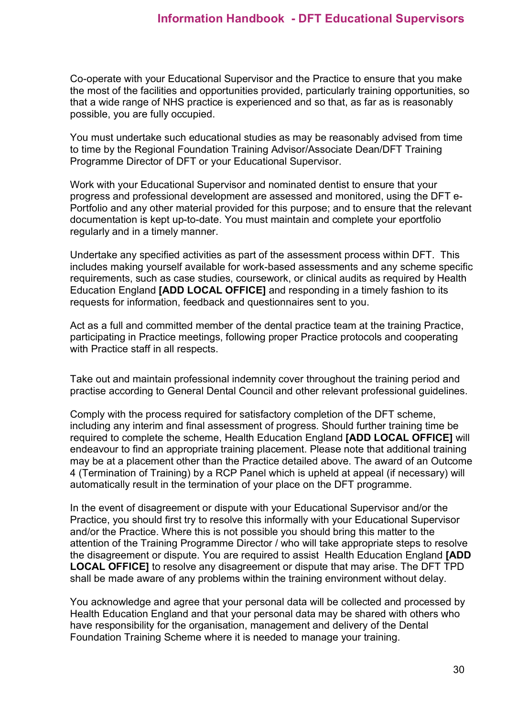Co-operate with your Educational Supervisor and the Practice to ensure that you make the most of the facilities and opportunities provided, particularly training opportunities, so that a wide range of NHS practice is experienced and so that, as far as is reasonably possible, you are fully occupied.

You must undertake such educational studies as may be reasonably advised from time to time by the Regional Foundation Training Advisor/Associate Dean/DFT Training Programme Director of DFT or your Educational Supervisor.

Work with your Educational Supervisor and nominated dentist to ensure that your progress and professional development are assessed and monitored, using the DFT e-Portfolio and any other material provided for this purpose; and to ensure that the relevant documentation is kept up-to-date. You must maintain and complete your eportfolio regularly and in a timely manner.

Undertake any specified activities as part of the assessment process within DFT. This includes making yourself available for work-based assessments and any scheme specific requirements, such as case studies, coursework, or clinical audits as required by Health Education England **[ADD LOCAL OFFICE]** and responding in a timely fashion to its requests for information, feedback and questionnaires sent to you.

Act as a full and committed member of the dental practice team at the training Practice, participating in Practice meetings, following proper Practice protocols and cooperating with Practice staff in all respects.

Take out and maintain professional indemnity cover throughout the training period and practise according to General Dental Council and other relevant professional guidelines.

Comply with the process required for satisfactory completion of the DFT scheme, including any interim and final assessment of progress. Should further training time be required to complete the scheme, Health Education England **[ADD LOCAL OFFICE]** will endeavour to find an appropriate training placement. Please note that additional training may be at a placement other than the Practice detailed above. The award of an Outcome 4 (Termination of Training) by a RCP Panel which is upheld at appeal (if necessary) will automatically result in the termination of your place on the DFT programme.

In the event of disagreement or dispute with your Educational Supervisor and/or the Practice, you should first try to resolve this informally with your Educational Supervisor and/or the Practice. Where this is not possible you should bring this matter to the attention of the Training Programme Director / who will take appropriate steps to resolve the disagreement or dispute. You are required to assist Health Education England **[ADD LOCAL OFFICE]** to resolve any disagreement or dispute that may arise. The DFT TPD shall be made aware of any problems within the training environment without delay.

You acknowledge and agree that your personal data will be collected and processed by Health Education England and that your personal data may be shared with others who have responsibility for the organisation, management and delivery of the Dental Foundation Training Scheme where it is needed to manage your training.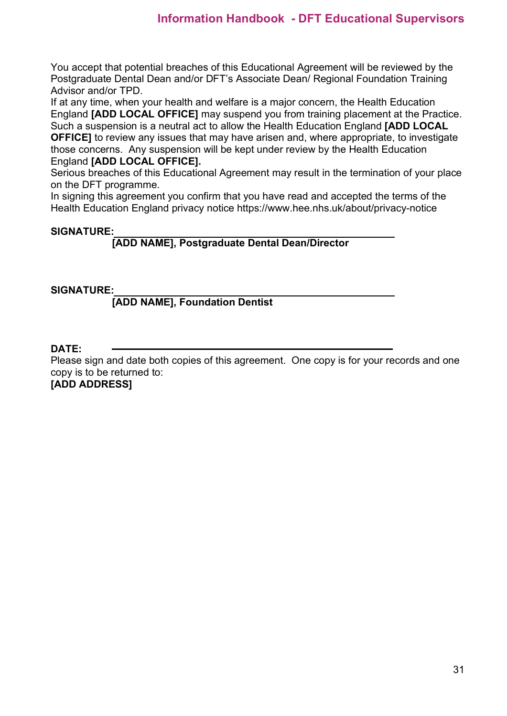You accept that potential breaches of this Educational Agreement will be reviewed by the Postgraduate Dental Dean and/or DFT's Associate Dean/ Regional Foundation Training Advisor and/or TPD.

If at any time, when your health and welfare is a major concern, the Health Education England **[ADD LOCAL OFFICE]** may suspend you from training placement at the Practice. Such a suspension is a neutral act to allow the Health Education England **[ADD LOCAL OFFICE]** to review any issues that may have arisen and, where appropriate, to investigate those concerns. Any suspension will be kept under review by the Health Education England **[ADD LOCAL OFFICE].**

Serious breaches of this Educational Agreement may result in the termination of your place on the DFT programme.

In signing this agreement you confirm that you have read and accepted the terms of the Health Education England privacy notice https://www.hee.nhs.uk/about/privacy-notice

### **SIGNATURE:**

### **[ADD NAME], Postgraduate Dental Dean/Director**

### **SIGNATURE:**

### **[ADD NAME], Foundation Dentist**

### **DATE:**

Please sign and date both copies of this agreement. One copy is for your records and one copy is to be returned to:

**[ADD ADDRESS]**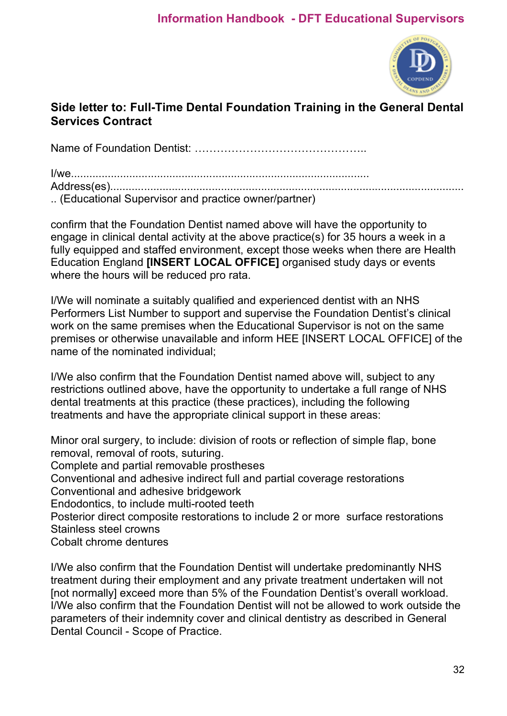

## **Side letter to: Full-Time Dental Foundation Training in the General Dental Services Contract**

Name of Foundation Dentist: ………………………………………..

I/we................................................................................................. Address(es)................................................................................................................... .. (Educational Supervisor and practice owner/partner)

confirm that the Foundation Dentist named above will have the opportunity to engage in clinical dental activity at the above practice(s) for 35 hours a week in a fully equipped and staffed environment, except those weeks when there are Health Education England **[INSERT LOCAL OFFICE]** organised study days or events where the hours will be reduced pro rata.

I/We will nominate a suitably qualified and experienced dentist with an NHS Performers List Number to support and supervise the Foundation Dentist's clinical work on the same premises when the Educational Supervisor is not on the same premises or otherwise unavailable and inform HEE [INSERT LOCAL OFFICE] of the name of the nominated individual;

I/We also confirm that the Foundation Dentist named above will, subject to any restrictions outlined above, have the opportunity to undertake a full range of NHS dental treatments at this practice (these practices), including the following treatments and have the appropriate clinical support in these areas:

Minor oral surgery, to include: division of roots or reflection of simple flap, bone removal, removal of roots, suturing. Complete and partial removable prostheses Conventional and adhesive indirect full and partial coverage restorations Conventional and adhesive bridgework Endodontics, to include multi-rooted teeth Posterior direct composite restorations to include 2 or more surface restorations Stainless steel crowns Cobalt chrome dentures

I/We also confirm that the Foundation Dentist will undertake predominantly NHS treatment during their employment and any private treatment undertaken will not [not normally] exceed more than 5% of the Foundation Dentist's overall workload. I/We also confirm that the Foundation Dentist will not be allowed to work outside the parameters of their indemnity cover and clinical dentistry as described in General Dental Council - Scope of Practice.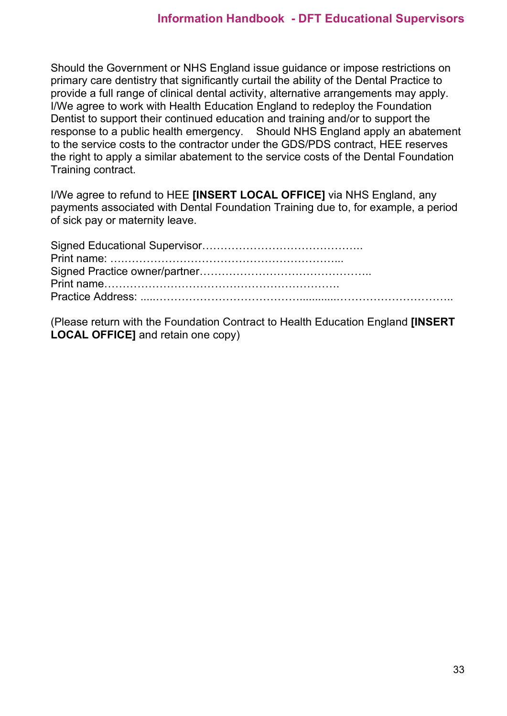Should the Government or NHS England issue guidance or impose restrictions on primary care dentistry that significantly curtail the ability of the Dental Practice to provide a full range of clinical dental activity, alternative arrangements may apply. I/We agree to work with Health Education England to redeploy the Foundation Dentist to support their continued education and training and/or to support the response to a public health emergency. Should NHS England apply an abatement to the service costs to the contractor under the GDS/PDS contract, HEE reserves the right to apply a similar abatement to the service costs of the Dental Foundation Training contract.

I/We agree to refund to HEE **[INSERT LOCAL OFFICE]** via NHS England, any payments associated with Dental Foundation Training due to, for example, a period of sick pay or maternity leave.

(Please return with the Foundation Contract to Health Education England **[INSERT LOCAL OFFICE]** and retain one copy)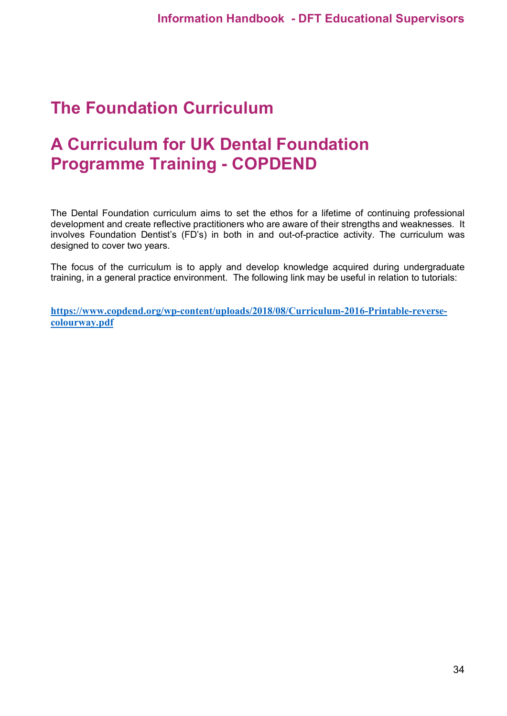## <span id="page-33-0"></span>**The Foundation Curriculum**

## <span id="page-33-1"></span>**A Curriculum for UK Dental Foundation Programme Training - COPDEND**

The Dental Foundation curriculum aims to set the ethos for a lifetime of continuing professional development and create reflective practitioners who are aware of their strengths and weaknesses. It involves Foundation Dentist's (FD's) in both in and out-of-practice activity. The curriculum was designed to cover two years.

The focus of the curriculum is to apply and develop knowledge acquired during undergraduate training, in a general practice environment. The following link may be useful in relation to tutorials:

**[https://www.copdend.org/wp-content/uploads/2018/08/Curriculum-2016-Printable-reverse](https://www.copdend.org/wp-content/uploads/2018/08/Curriculum-2016-Printable-reverse-colourway.pdf)[colourway.pdf](https://www.copdend.org/wp-content/uploads/2018/08/Curriculum-2016-Printable-reverse-colourway.pdf)**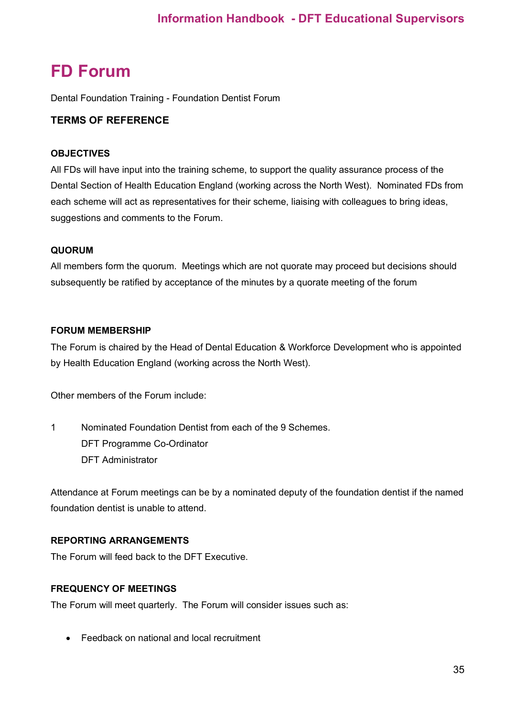## <span id="page-34-0"></span>**FD Forum**

Dental Foundation Training - Foundation Dentist Forum

### **TERMS OF REFERENCE**

#### **OBJECTIVES**

All FDs will have input into the training scheme, to support the quality assurance process of the Dental Section of Health Education England (working across the North West). Nominated FDs from each scheme will act as representatives for their scheme, liaising with colleagues to bring ideas, suggestions and comments to the Forum.

#### **QUORUM**

All members form the quorum. Meetings which are not quorate may proceed but decisions should subsequently be ratified by acceptance of the minutes by a quorate meeting of the forum

#### **FORUM MEMBERSHIP**

The Forum is chaired by the Head of Dental Education & Workforce Development who is appointed by Health Education England (working across the North West).

Other members of the Forum include:

1 Nominated Foundation Dentist from each of the 9 Schemes. DFT Programme Co-Ordinator DFT Administrator

Attendance at Forum meetings can be by a nominated deputy of the foundation dentist if the named foundation dentist is unable to attend.

### **REPORTING ARRANGEMENTS**

The Forum will feed back to the DFT Executive.

#### **FREQUENCY OF MEETINGS**

The Forum will meet quarterly. The Forum will consider issues such as:

• Feedback on national and local recruitment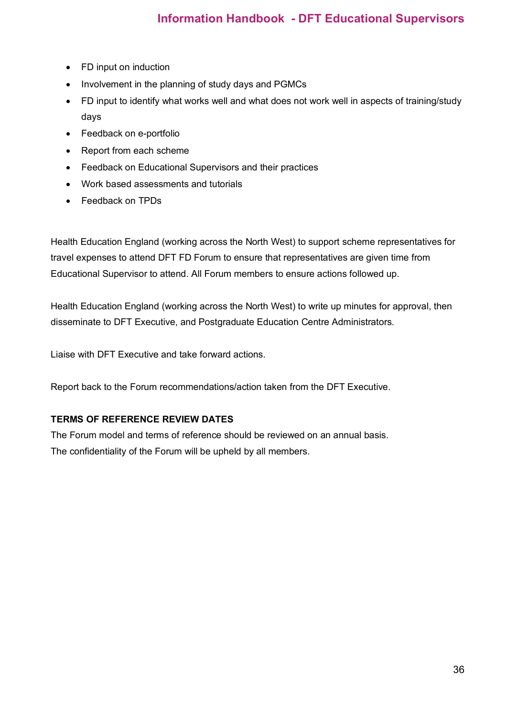- FD input on induction
- Involvement in the planning of study days and PGMCs
- FD input to identify what works well and what does not work well in aspects of training/study days
- Feedback on e-portfolio
- Report from each scheme
- Feedback on Educational Supervisors and their practices
- Work based assessments and tutorials
- Feedback on TPDs

Health Education England (working across the North West) to support scheme representatives for travel expenses to attend DFT FD Forum to ensure that representatives are given time from Educational Supervisor to attend. All Forum members to ensure actions followed up.

Health Education England (working across the North West) to write up minutes for approval, then disseminate to DFT Executive, and Postgraduate Education Centre Administrators.

Liaise with DFT Executive and take forward actions.

Report back to the Forum recommendations/action taken from the DFT Executive.

#### **TERMS OF REFERENCE REVIEW DATES**

The Forum model and terms of reference should be reviewed on an annual basis. The confidentiality of the Forum will be upheld by all members.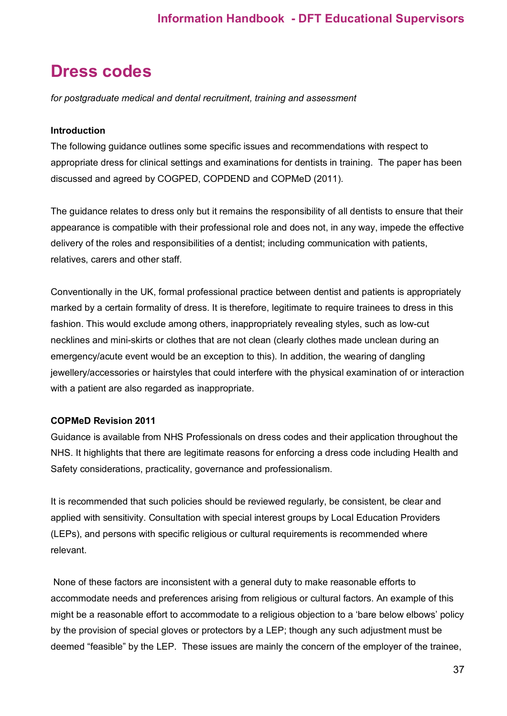## <span id="page-36-0"></span>**Dress codes**

*for postgraduate medical and dental recruitment, training and assessment*

#### **Introduction**

The following guidance outlines some specific issues and recommendations with respect to appropriate dress for clinical settings and examinations for dentists in training. The paper has been discussed and agreed by COGPED, COPDEND and COPMeD (2011).

The guidance relates to dress only but it remains the responsibility of all dentists to ensure that their appearance is compatible with their professional role and does not, in any way, impede the effective delivery of the roles and responsibilities of a dentist; including communication with patients, relatives, carers and other staff.

Conventionally in the UK, formal professional practice between dentist and patients is appropriately marked by a certain formality of dress. It is therefore, legitimate to require trainees to dress in this fashion. This would exclude among others, inappropriately revealing styles, such as low-cut necklines and mini-skirts or clothes that are not clean (clearly clothes made unclean during an emergency/acute event would be an exception to this). In addition, the wearing of dangling jewellery/accessories or hairstyles that could interfere with the physical examination of or interaction with a patient are also regarded as inappropriate.

### **COPMeD Revision 2011**

Guidance is available from NHS Professionals on dress codes and their application throughout the NHS. It highlights that there are legitimate reasons for enforcing a dress code including Health and Safety considerations, practicality, governance and professionalism.

It is recommended that such policies should be reviewed regularly, be consistent, be clear and applied with sensitivity. Consultation with special interest groups by Local Education Providers (LEPs), and persons with specific religious or cultural requirements is recommended where relevant.

None of these factors are inconsistent with a general duty to make reasonable efforts to accommodate needs and preferences arising from religious or cultural factors. An example of this might be a reasonable effort to accommodate to a religious objection to a 'bare below elbows' policy by the provision of special gloves or protectors by a LEP; though any such adjustment must be deemed "feasible" by the LEP. These issues are mainly the concern of the employer of the trainee,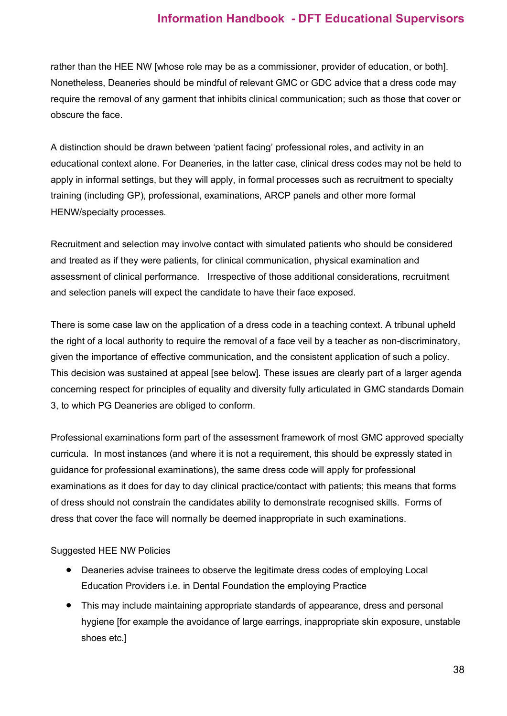rather than the HEE NW [whose role may be as a commissioner, provider of education, or both]. Nonetheless, Deaneries should be mindful of relevant GMC or GDC advice that a dress code may require the removal of any garment that inhibits clinical communication; such as those that cover or obscure the face.

A distinction should be drawn between 'patient facing' professional roles, and activity in an educational context alone. For Deaneries, in the latter case, clinical dress codes may not be held to apply in informal settings, but they will apply, in formal processes such as recruitment to specialty training (including GP), professional, examinations, ARCP panels and other more formal HENW/specialty processes.

Recruitment and selection may involve contact with simulated patients who should be considered and treated as if they were patients, for clinical communication, physical examination and assessment of clinical performance. Irrespective of those additional considerations, recruitment and selection panels will expect the candidate to have their face exposed.

There is some case law on the application of a dress code in a teaching context. A tribunal upheld the right of a local authority to require the removal of a face veil by a teacher as non-discriminatory, given the importance of effective communication, and the consistent application of such a policy. This decision was sustained at appeal [see below]. These issues are clearly part of a larger agenda concerning respect for principles of equality and diversity fully articulated in GMC standards Domain 3, to which PG Deaneries are obliged to conform.

Professional examinations form part of the assessment framework of most GMC approved specialty curricula. In most instances (and where it is not a requirement, this should be expressly stated in guidance for professional examinations), the same dress code will apply for professional examinations as it does for day to day clinical practice/contact with patients; this means that forms of dress should not constrain the candidates ability to demonstrate recognised skills. Forms of dress that cover the face will normally be deemed inappropriate in such examinations.

#### Suggested HEE NW Policies

- Deaneries advise trainees to observe the legitimate dress codes of employing Local Education Providers i.e. in Dental Foundation the employing Practice
- This may include maintaining appropriate standards of appearance, dress and personal hygiene [for example the avoidance of large earrings, inappropriate skin exposure, unstable shoes etc.]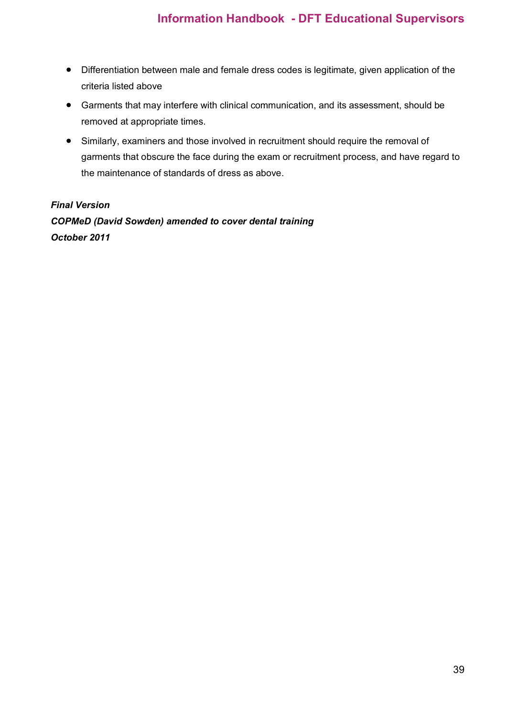- Differentiation between male and female dress codes is legitimate, given application of the criteria listed above
- Garments that may interfere with clinical communication, and its assessment, should be removed at appropriate times.
- Similarly, examiners and those involved in recruitment should require the removal of garments that obscure the face during the exam or recruitment process, and have regard to the maintenance of standards of dress as above.

## *Final Version COPMeD (David Sowden) amended to cover dental training October 2011*